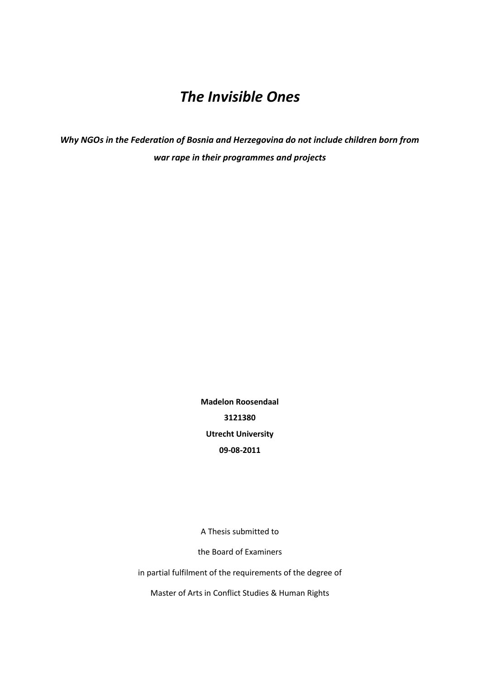# *The Invisible Ones*

*Why NGOs in the Federation of Bosnia and Herzegovina do not include children born from war rape in their programmes and projects*

> **Madelon Roosendaal 3121380 Utrecht University 09-08-2011**

> A Thesis submitted to

the Board of Examiners

in partial fulfilment of the requirements of the degree of

Master of Arts in Conflict Studies & Human Rights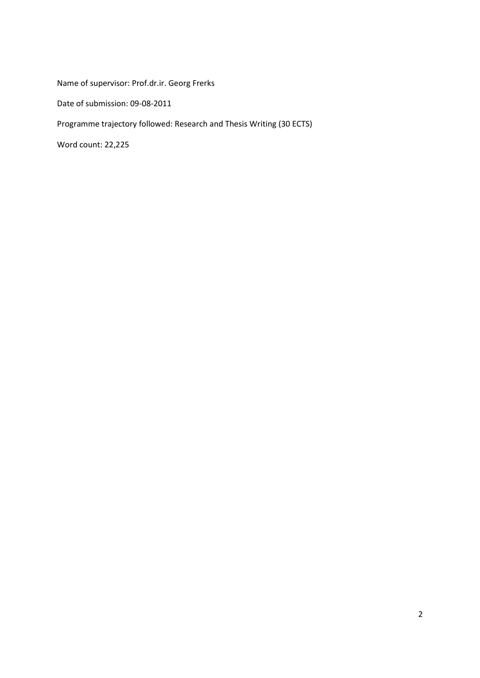Name of supervisor: Prof.dr.ir. Georg Frerks

Date of submission: 09-08-2011

Programme trajectory followed: Research and Thesis Writing (30 ECTS)

Word count: 22,225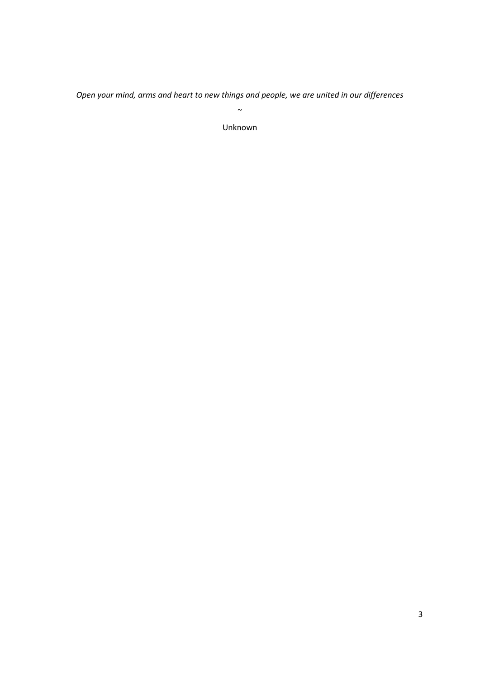*Open your mind, arms and heart to new things and people, we are united in our differences*  $\sim$ 

Unknown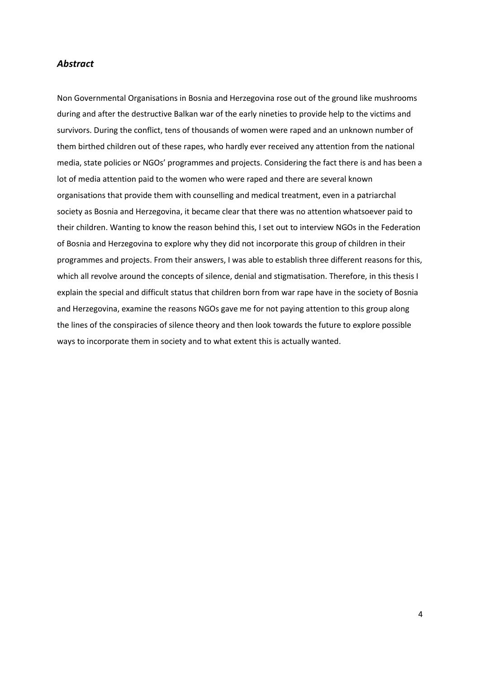## *Abstract*

Non Governmental Organisations in Bosnia and Herzegovina rose out of the ground like mushrooms during and after the destructive Balkan war of the early nineties to provide help to the victims and survivors. During the conflict, tens of thousands of women were raped and an unknown number of them birthed children out of these rapes, who hardly ever received any attention from the national media, state policies or NGOs' programmes and projects. Considering the fact there is and has been a lot of media attention paid to the women who were raped and there are several known organisations that provide them with counselling and medical treatment, even in a patriarchal society as Bosnia and Herzegovina, it became clear that there was no attention whatsoever paid to their children. Wanting to know the reason behind this, I set out to interview NGOs in the Federation of Bosnia and Herzegovina to explore why they did not incorporate this group of children in their programmes and projects. From their answers, I was able to establish three different reasons for this, which all revolve around the concepts of silence, denial and stigmatisation. Therefore, in this thesis I explain the special and difficult status that children born from war rape have in the society of Bosnia and Herzegovina, examine the reasons NGOs gave me for not paying attention to this group along the lines of the conspiracies of silence theory and then look towards the future to explore possible ways to incorporate them in society and to what extent this is actually wanted.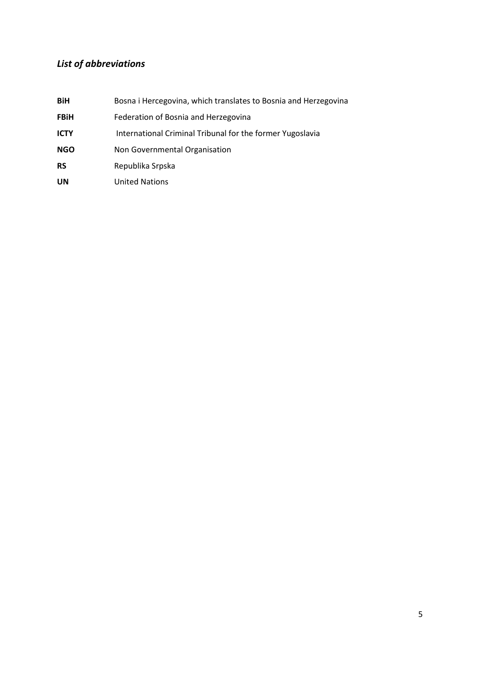## *List of abbreviations*

| <b>BiH</b>  | Bosna i Hercegovina, which translates to Bosnia and Herzegovina |
|-------------|-----------------------------------------------------------------|
| <b>FBiH</b> | Federation of Bosnia and Herzegovina                            |
| <b>ICTY</b> | International Criminal Tribunal for the former Yugoslavia       |
| <b>NGO</b>  | Non Governmental Organisation                                   |
| <b>RS</b>   | Republika Srpska                                                |
| UN          | <b>United Nations</b>                                           |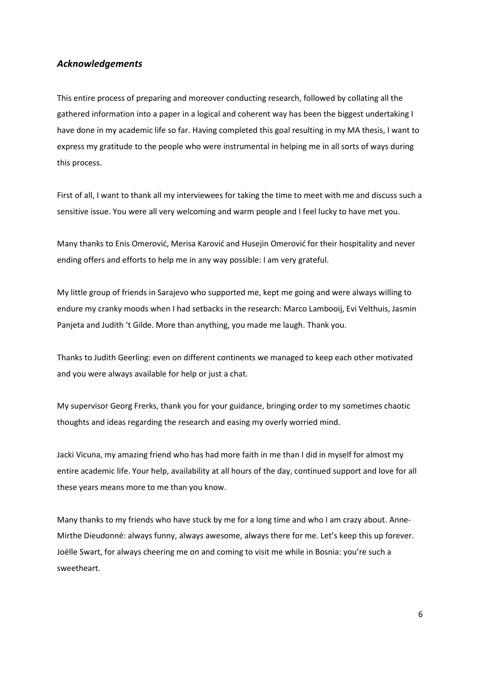## *Acknowledgements*

This entire process of preparing and moreover conducting research, followed by collating all the gathered information into a paper in a logical and coherent way has been the biggest undertaking I have done in my academic life so far. Having completed this goal resulting in my MA thesis, I want to express my gratitude to the people who were instrumental in helping me in all sorts of ways during this process.

First of all, I want to thank all my interviewees for taking the time to meet with me and discuss such a sensitive issue. You were all very welcoming and warm people and I feel lucky to have met you.

Many thanks to Enis Omerović, Merisa Karović and Husejin Omerović for their hospitality and never ending offers and efforts to help me in any way possible: I am very grateful.

My little group of friends in Sarajevo who supported me, kept me going and were always willing to endure my cranky moods when I had setbacks in the research: Marco Lambooij, Evi Velthuis, Jasmin Panjeta and Judith 't Gilde. More than anything, you made me laugh. Thank you.

Thanks to Judith Geerling: even on different continents we managed to keep each other motivated and you were always available for help or just a chat.

My supervisor Georg Frerks, thank you for your guidance, bringing order to my sometimes chaotic thoughts and ideas regarding the research and easing my overly worried mind.

Jacki Vicuna, my amazing friend who has had more faith in me than I did in myself for almost my entire academic life. Your help, availability at all hours of the day, continued support and love for all these years means more to me than you know.

Many thanks to my friends who have stuck by me for a long time and who I am crazy about. Anne-Mirthe Dieudonné: always funny, always awesome, always there for me. Let's keep this up forever. Joëlle Swart, for always cheering me on and coming to visit me while in Bosnia: you're such a sweetheart.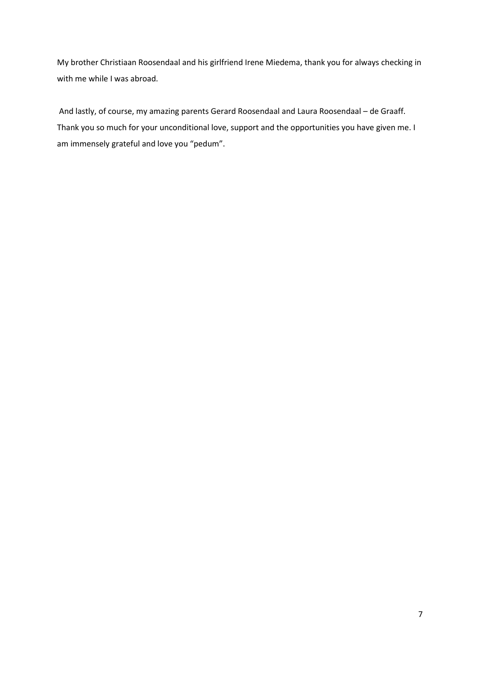My brother Christiaan Roosendaal and his girlfriend Irene Miedema, thank you for always checking in with me while I was abroad.

And lastly, of course, my amazing parents Gerard Roosendaal and Laura Roosendaal – de Graaff. Thank you so much for your unconditional love, support and the opportunities you have given me. I am immensely grateful and love you "pedum".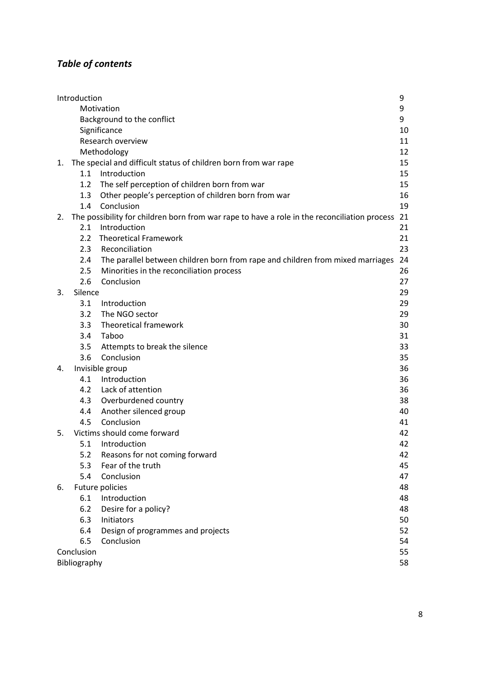## *Table of contents*

|    | Introduction                                                                                 |                                                                                | 9  |
|----|----------------------------------------------------------------------------------------------|--------------------------------------------------------------------------------|----|
|    | Motivation                                                                                   |                                                                                | 9  |
|    | Background to the conflict                                                                   |                                                                                |    |
|    | Significance                                                                                 |                                                                                | 10 |
|    | Research overview                                                                            |                                                                                | 11 |
|    | Methodology                                                                                  |                                                                                | 12 |
| 1. | The special and difficult status of children born from war rape                              |                                                                                | 15 |
|    | 1.1                                                                                          | Introduction                                                                   | 15 |
|    | 1.2                                                                                          | The self perception of children born from war                                  | 15 |
|    | 1.3                                                                                          | Other people's perception of children born from war                            | 16 |
|    | 1.4                                                                                          | Conclusion                                                                     | 19 |
| 2. | The possibility for children born from war rape to have a role in the reconciliation process |                                                                                | 21 |
|    | 2.1                                                                                          | Introduction                                                                   | 21 |
|    | $2.2^{\circ}$                                                                                | <b>Theoretical Framework</b>                                                   | 21 |
|    | 2.3                                                                                          | Reconciliation                                                                 | 23 |
|    | $2.4^{\circ}$                                                                                | The parallel between children born from rape and children from mixed marriages | 24 |
|    | 2.5                                                                                          | Minorities in the reconciliation process                                       | 26 |
|    | 2.6                                                                                          | Conclusion                                                                     | 27 |
| 3. | Silence                                                                                      |                                                                                | 29 |
|    | 3.1                                                                                          | Introduction                                                                   | 29 |
|    | 3.2                                                                                          | The NGO sector                                                                 | 29 |
|    | 3.3                                                                                          | Theoretical framework                                                          | 30 |
|    | 3.4                                                                                          | Taboo                                                                          | 31 |
|    | 3.5                                                                                          | Attempts to break the silence                                                  | 33 |
|    | 3.6                                                                                          | Conclusion                                                                     | 35 |
| 4. |                                                                                              | Invisible group                                                                | 36 |
|    | 4.1                                                                                          | Introduction                                                                   | 36 |
|    | 4.2                                                                                          | Lack of attention                                                              | 36 |
|    | 4.3                                                                                          | Overburdened country                                                           | 38 |
|    | 4.4                                                                                          | Another silenced group                                                         | 40 |
|    | 4.5                                                                                          | Conclusion                                                                     | 41 |
| 5. |                                                                                              | Victims should come forward                                                    | 42 |
|    | 5.1                                                                                          | Introduction                                                                   | 42 |
|    | 5.2                                                                                          | Reasons for not coming forward                                                 | 42 |
|    | 5.3                                                                                          | Fear of the truth                                                              | 45 |
|    | 5.4                                                                                          | Conclusion                                                                     | 47 |
| 6. |                                                                                              | Future policies                                                                | 48 |
|    | 6.1                                                                                          | Introduction                                                                   | 48 |
|    | 6.2                                                                                          | Desire for a policy?                                                           | 48 |
|    | 6.3                                                                                          | Initiators                                                                     | 50 |
|    | 6.4                                                                                          | Design of programmes and projects                                              | 52 |
|    | 6.5                                                                                          | Conclusion                                                                     | 54 |
|    | Conclusion                                                                                   |                                                                                | 55 |
|    | Bibliography                                                                                 |                                                                                | 58 |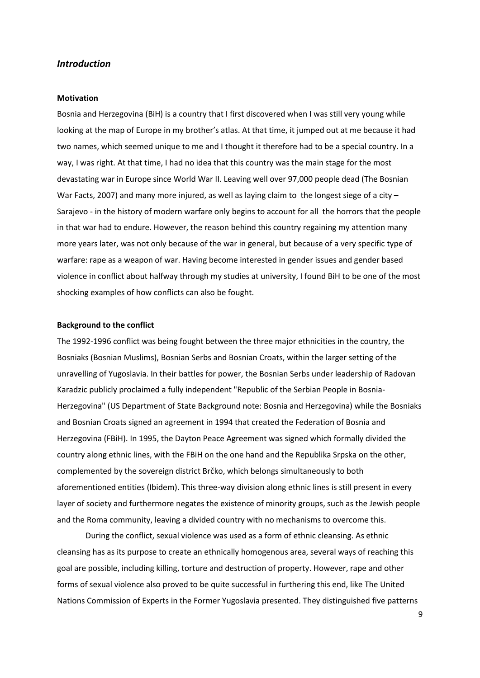## *Introduction*

#### **Motivation**

Bosnia and Herzegovina (BiH) is a country that I first discovered when I was still very young while looking at the map of Europe in my brother's atlas. At that time, it jumped out at me because it had two names, which seemed unique to me and I thought it therefore had to be a special country. In a way, I was right. At that time, I had no idea that this country was the main stage for the most devastating war in Europe since World War II. Leaving well over 97,000 people dead (The Bosnian War Facts, 2007) and many more injured, as well as laying claim to the longest siege of a city  $-$ Sarajevo - in the history of modern warfare only begins to account for all the horrors that the people in that war had to endure. However, the reason behind this country regaining my attention many more years later, was not only because of the war in general, but because of a very specific type of warfare: rape as a weapon of war. Having become interested in gender issues and gender based violence in conflict about halfway through my studies at university, I found BiH to be one of the most shocking examples of how conflicts can also be fought.

#### **Background to the conflict**

The 1992-1996 conflict was being fought between the three major ethnicities in the country, the Bosniaks (Bosnian Muslims), Bosnian Serbs and Bosnian Croats, within the larger setting of the unravelling of Yugoslavia. In their battles for power, the Bosnian Serbs under leadership of Radovan Karadzic publicly proclaimed a fully independent "Republic of the Serbian People in Bosnia-Herzegovina" (US Department of State Background note: Bosnia and Herzegovina) while the Bosniaks and Bosnian Croats signed an agreement in 1994 that created the Federation of Bosnia and Herzegovina (FBiH). In 1995, the Dayton Peace Agreement was signed which formally divided the country along ethnic lines, with the FBiH on the one hand and the Republika Srpska on the other, complemented by the sovereign district Brčko, which belongs simultaneously to both aforementioned entities (Ibidem). This three-way division along ethnic lines is still present in every layer of society and furthermore negates the existence of minority groups, such as the Jewish people and the Roma community, leaving a divided country with no mechanisms to overcome this.

During the conflict, sexual violence was used as a form of ethnic cleansing. As ethnic cleansing has as its purpose to create an ethnically homogenous area, several ways of reaching this goal are possible, including killing, torture and destruction of property. However, rape and other forms of sexual violence also proved to be quite successful in furthering this end, like The United Nations Commission of Experts in the Former Yugoslavia presented. They distinguished five patterns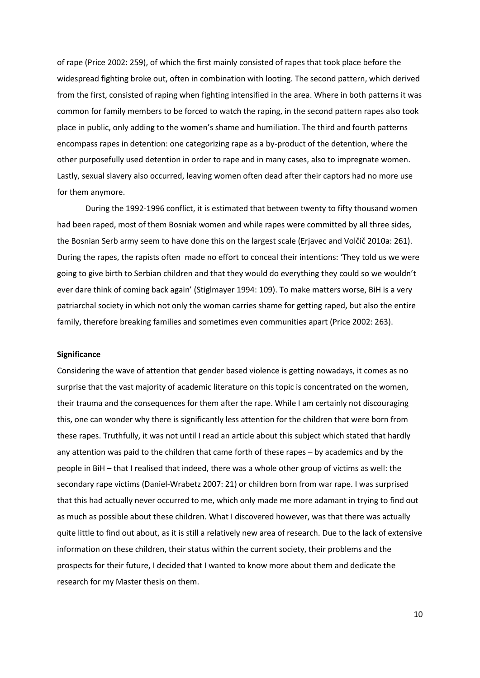of rape (Price 2002: 259), of which the first mainly consisted of rapes that took place before the widespread fighting broke out, often in combination with looting. The second pattern, which derived from the first, consisted of raping when fighting intensified in the area. Where in both patterns it was common for family members to be forced to watch the raping, in the second pattern rapes also took place in public, only adding to the women's shame and humiliation. The third and fourth patterns encompass rapes in detention: one categorizing rape as a by-product of the detention, where the other purposefully used detention in order to rape and in many cases, also to impregnate women. Lastly, sexual slavery also occurred, leaving women often dead after their captors had no more use for them anymore.

During the 1992-1996 conflict, it is estimated that between twenty to fifty thousand women had been raped, most of them Bosniak women and while rapes were committed by all three sides, the Bosnian Serb army seem to have done this on the largest scale (Erjavec and Volčič 2010a: 261). During the rapes, the rapists often made no effort to conceal their intentions: 'They told us we were going to give birth to Serbian children and that they would do everything they could so we wouldn't ever dare think of coming back again' (Stiglmayer 1994: 109). To make matters worse, BiH is a very patriarchal society in which not only the woman carries shame for getting raped, but also the entire family, therefore breaking families and sometimes even communities apart (Price 2002: 263).

#### **Significance**

Considering the wave of attention that gender based violence is getting nowadays, it comes as no surprise that the vast majority of academic literature on this topic is concentrated on the women, their trauma and the consequences for them after the rape. While I am certainly not discouraging this, one can wonder why there is significantly less attention for the children that were born from these rapes. Truthfully, it was not until I read an article about this subject which stated that hardly any attention was paid to the children that came forth of these rapes – by academics and by the people in BiH – that I realised that indeed, there was a whole other group of victims as well: the secondary rape victims (Daniel-Wrabetz 2007: 21) or children born from war rape. I was surprised that this had actually never occurred to me, which only made me more adamant in trying to find out as much as possible about these children. What I discovered however, was that there was actually quite little to find out about, as it is still a relatively new area of research. Due to the lack of extensive information on these children, their status within the current society, their problems and the prospects for their future, I decided that I wanted to know more about them and dedicate the research for my Master thesis on them.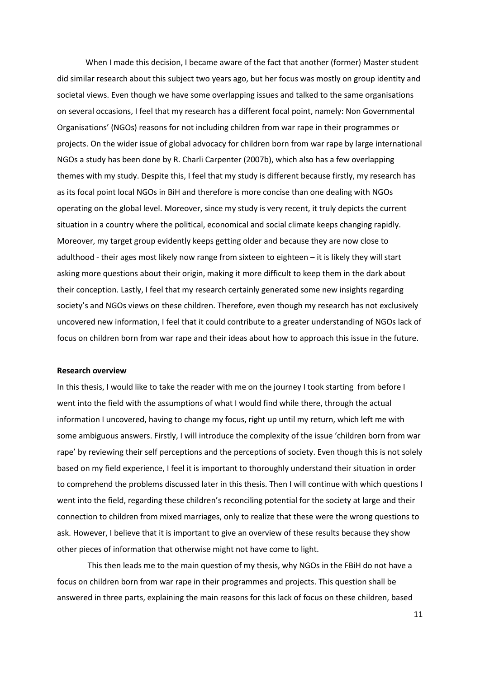When I made this decision, I became aware of the fact that another (former) Master student did similar research about this subject two years ago, but her focus was mostly on group identity and societal views. Even though we have some overlapping issues and talked to the same organisations on several occasions, I feel that my research has a different focal point, namely: Non Governmental Organisations' (NGOs) reasons for not including children from war rape in their programmes or projects. On the wider issue of global advocacy for children born from war rape by large international NGOs a study has been done by R. Charli Carpenter (2007b), which also has a few overlapping themes with my study. Despite this, I feel that my study is different because firstly, my research has as its focal point local NGOs in BiH and therefore is more concise than one dealing with NGOs operating on the global level. Moreover, since my study is very recent, it truly depicts the current situation in a country where the political, economical and social climate keeps changing rapidly. Moreover, my target group evidently keeps getting older and because they are now close to adulthood - their ages most likely now range from sixteen to eighteen – it is likely they will start asking more questions about their origin, making it more difficult to keep them in the dark about their conception. Lastly, I feel that my research certainly generated some new insights regarding society's and NGOs views on these children. Therefore, even though my research has not exclusively uncovered new information, I feel that it could contribute to a greater understanding of NGOs lack of focus on children born from war rape and their ideas about how to approach this issue in the future.

#### **Research overview**

In this thesis, I would like to take the reader with me on the journey I took starting from before I went into the field with the assumptions of what I would find while there, through the actual information I uncovered, having to change my focus, right up until my return, which left me with some ambiguous answers. Firstly, I will introduce the complexity of the issue 'children born from war rape' by reviewing their self perceptions and the perceptions of society. Even though this is not solely based on my field experience, I feel it is important to thoroughly understand their situation in order to comprehend the problems discussed later in this thesis. Then I will continue with which questions I went into the field, regarding these children's reconciling potential for the society at large and their connection to children from mixed marriages, only to realize that these were the wrong questions to ask. However, I believe that it is important to give an overview of these results because they show other pieces of information that otherwise might not have come to light.

This then leads me to the main question of my thesis, why NGOs in the FBiH do not have a focus on children born from war rape in their programmes and projects. This question shall be answered in three parts, explaining the main reasons for this lack of focus on these children, based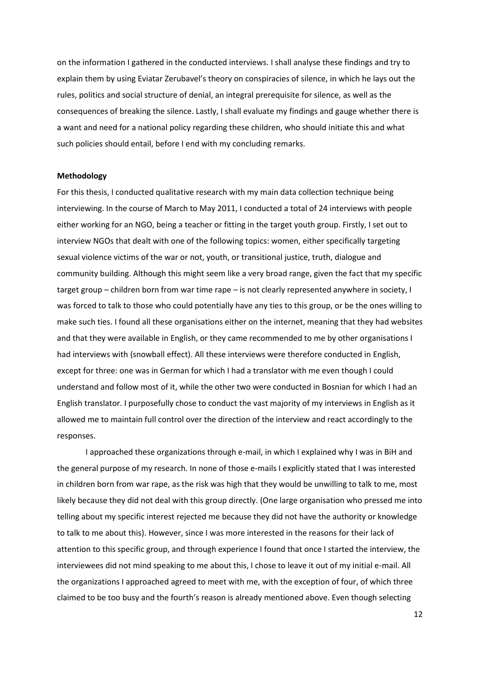on the information I gathered in the conducted interviews. I shall analyse these findings and try to explain them by using Eviatar Zerubavel's theory on conspiracies of silence, in which he lays out the rules, politics and social structure of denial, an integral prerequisite for silence, as well as the consequences of breaking the silence. Lastly, I shall evaluate my findings and gauge whether there is a want and need for a national policy regarding these children, who should initiate this and what such policies should entail, before I end with my concluding remarks.

#### **Methodology**

For this thesis, I conducted qualitative research with my main data collection technique being interviewing. In the course of March to May 2011, I conducted a total of 24 interviews with people either working for an NGO, being a teacher or fitting in the target youth group. Firstly, I set out to interview NGOs that dealt with one of the following topics: women, either specifically targeting sexual violence victims of the war or not, youth, or transitional justice, truth, dialogue and community building. Although this might seem like a very broad range, given the fact that my specific target group – children born from war time rape – is not clearly represented anywhere in society, I was forced to talk to those who could potentially have any ties to this group, or be the ones willing to make such ties. I found all these organisations either on the internet, meaning that they had websites and that they were available in English, or they came recommended to me by other organisations I had interviews with (snowball effect). All these interviews were therefore conducted in English, except for three: one was in German for which I had a translator with me even though I could understand and follow most of it, while the other two were conducted in Bosnian for which I had an English translator. I purposefully chose to conduct the vast majority of my interviews in English as it allowed me to maintain full control over the direction of the interview and react accordingly to the responses.

I approached these organizations through e-mail, in which I explained why I was in BiH and the general purpose of my research. In none of those e-mails I explicitly stated that I was interested in children born from war rape, as the risk was high that they would be unwilling to talk to me, most likely because they did not deal with this group directly. (One large organisation who pressed me into telling about my specific interest rejected me because they did not have the authority or knowledge to talk to me about this). However, since I was more interested in the reasons for their lack of attention to this specific group, and through experience I found that once I started the interview, the interviewees did not mind speaking to me about this, I chose to leave it out of my initial e-mail. All the organizations I approached agreed to meet with me, with the exception of four, of which three claimed to be too busy and the fourth's reason is already mentioned above. Even though selecting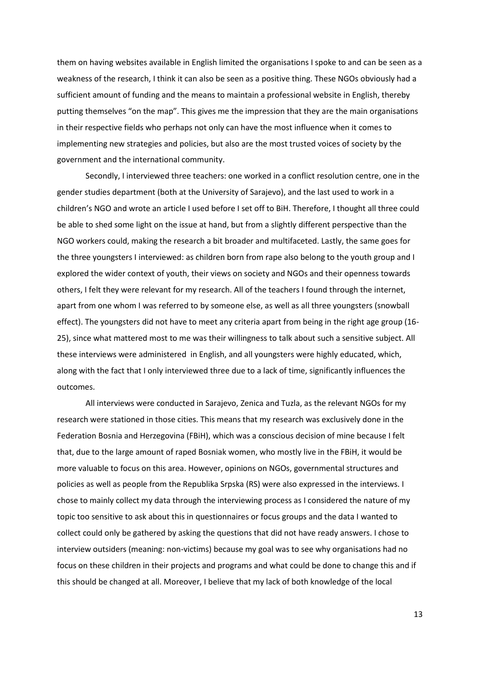them on having websites available in English limited the organisations I spoke to and can be seen as a weakness of the research, I think it can also be seen as a positive thing. These NGOs obviously had a sufficient amount of funding and the means to maintain a professional website in English, thereby putting themselves "on the map". This gives me the impression that they are the main organisations in their respective fields who perhaps not only can have the most influence when it comes to implementing new strategies and policies, but also are the most trusted voices of society by the government and the international community.

Secondly, I interviewed three teachers: one worked in a conflict resolution centre, one in the gender studies department (both at the University of Sarajevo), and the last used to work in a children's NGO and wrote an article I used before I set off to BiH. Therefore, I thought all three could be able to shed some light on the issue at hand, but from a slightly different perspective than the NGO workers could, making the research a bit broader and multifaceted. Lastly, the same goes for the three youngsters I interviewed: as children born from rape also belong to the youth group and I explored the wider context of youth, their views on society and NGOs and their openness towards others, I felt they were relevant for my research. All of the teachers I found through the internet, apart from one whom I was referred to by someone else, as well as all three youngsters (snowball effect). The youngsters did not have to meet any criteria apart from being in the right age group (16- 25), since what mattered most to me was their willingness to talk about such a sensitive subject. All these interviews were administered in English, and all youngsters were highly educated, which, along with the fact that I only interviewed three due to a lack of time, significantly influences the outcomes.

All interviews were conducted in Sarajevo, Zenica and Tuzla, as the relevant NGOs for my research were stationed in those cities. This means that my research was exclusively done in the Federation Bosnia and Herzegovina (FBiH), which was a conscious decision of mine because I felt that, due to the large amount of raped Bosniak women, who mostly live in the FBiH, it would be more valuable to focus on this area. However, opinions on NGOs, governmental structures and policies as well as people from the Republika Srpska (RS) were also expressed in the interviews. I chose to mainly collect my data through the interviewing process as I considered the nature of my topic too sensitive to ask about this in questionnaires or focus groups and the data I wanted to collect could only be gathered by asking the questions that did not have ready answers. I chose to interview outsiders (meaning: non-victims) because my goal was to see why organisations had no focus on these children in their projects and programs and what could be done to change this and if this should be changed at all. Moreover, I believe that my lack of both knowledge of the local

13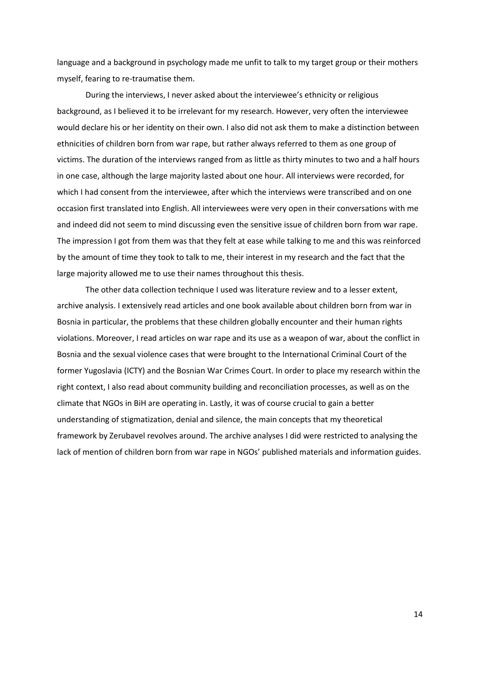language and a background in psychology made me unfit to talk to my target group or their mothers myself, fearing to re-traumatise them.

During the interviews, I never asked about the interviewee's ethnicity or religious background, as I believed it to be irrelevant for my research. However, very often the interviewee would declare his or her identity on their own. I also did not ask them to make a distinction between ethnicities of children born from war rape, but rather always referred to them as one group of victims. The duration of the interviews ranged from as little as thirty minutes to two and a half hours in one case, although the large majority lasted about one hour. All interviews were recorded, for which I had consent from the interviewee, after which the interviews were transcribed and on one occasion first translated into English. All interviewees were very open in their conversations with me and indeed did not seem to mind discussing even the sensitive issue of children born from war rape. The impression I got from them was that they felt at ease while talking to me and this was reinforced by the amount of time they took to talk to me, their interest in my research and the fact that the large majority allowed me to use their names throughout this thesis.

The other data collection technique I used was literature review and to a lesser extent, archive analysis. I extensively read articles and one book available about children born from war in Bosnia in particular, the problems that these children globally encounter and their human rights violations. Moreover, I read articles on war rape and its use as a weapon of war, about the conflict in Bosnia and the sexual violence cases that were brought to the International Criminal Court of the former Yugoslavia (ICTY) and the Bosnian War Crimes Court. In order to place my research within the right context, I also read about community building and reconciliation processes, as well as on the climate that NGOs in BiH are operating in. Lastly, it was of course crucial to gain a better understanding of stigmatization, denial and silence, the main concepts that my theoretical framework by Zerubavel revolves around. The archive analyses I did were restricted to analysing the lack of mention of children born from war rape in NGOs' published materials and information guides.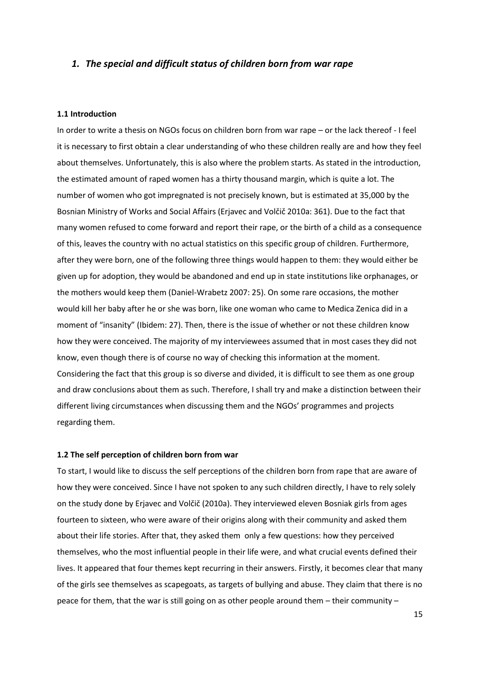## *1. The special and difficult status of children born from war rape*

#### **1.1 Introduction**

In order to write a thesis on NGOs focus on children born from war rape – or the lack thereof - I feel it is necessary to first obtain a clear understanding of who these children really are and how they feel about themselves. Unfortunately, this is also where the problem starts. As stated in the introduction, the estimated amount of raped women has a thirty thousand margin, which is quite a lot. The number of women who got impregnated is not precisely known, but is estimated at 35,000 by the Bosnian Ministry of Works and Social Affairs (Erjavec and Volčič 2010a: 361). Due to the fact that many women refused to come forward and report their rape, or the birth of a child as a consequence of this, leaves the country with no actual statistics on this specific group of children. Furthermore, after they were born, one of the following three things would happen to them: they would either be given up for adoption, they would be abandoned and end up in state institutions like orphanages, or the mothers would keep them (Daniel-Wrabetz 2007: 25). On some rare occasions, the mother would kill her baby after he or she was born, like one woman who came to Medica Zenica did in a moment of "insanity" (Ibidem: 27). Then, there is the issue of whether or not these children know how they were conceived. The majority of my interviewees assumed that in most cases they did not know, even though there is of course no way of checking this information at the moment. Considering the fact that this group is so diverse and divided, it is difficult to see them as one group and draw conclusions about them as such. Therefore, I shall try and make a distinction between their different living circumstances when discussing them and the NGOs' programmes and projects regarding them.

#### **1.2 The self perception of children born from war**

To start, I would like to discuss the self perceptions of the children born from rape that are aware of how they were conceived. Since I have not spoken to any such children directly, I have to rely solely on the study done by Erjavec and Volčič (2010a). They interviewed eleven Bosniak girls from ages fourteen to sixteen, who were aware of their origins along with their community and asked them about their life stories. After that, they asked them only a few questions: how they perceived themselves, who the most influential people in their life were, and what crucial events defined their lives. It appeared that four themes kept recurring in their answers. Firstly, it becomes clear that many of the girls see themselves as scapegoats, as targets of bullying and abuse. They claim that there is no peace for them, that the war is still going on as other people around them – their community –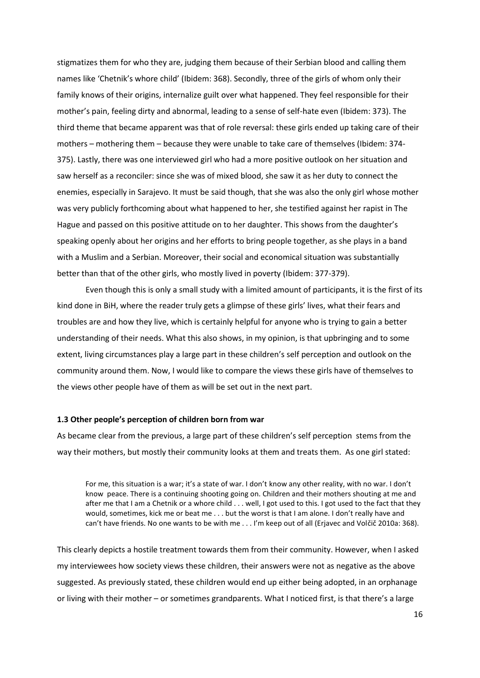stigmatizes them for who they are, judging them because of their Serbian blood and calling them names like 'Chetnik's whore child' (Ibidem: 368). Secondly, three of the girls of whom only their family knows of their origins, internalize guilt over what happened. They feel responsible for their mother's pain, feeling dirty and abnormal, leading to a sense of self-hate even (Ibidem: 373). The third theme that became apparent was that of role reversal: these girls ended up taking care of their mothers – mothering them – because they were unable to take care of themselves (Ibidem: 374- 375). Lastly, there was one interviewed girl who had a more positive outlook on her situation and saw herself as a reconciler: since she was of mixed blood, she saw it as her duty to connect the enemies, especially in Sarajevo. It must be said though, that she was also the only girl whose mother was very publicly forthcoming about what happened to her, she testified against her rapist in The Hague and passed on this positive attitude on to her daughter. This shows from the daughter's speaking openly about her origins and her efforts to bring people together, as she plays in a band with a Muslim and a Serbian. Moreover, their social and economical situation was substantially better than that of the other girls, who mostly lived in poverty (Ibidem: 377-379).

Even though this is only a small study with a limited amount of participants, it is the first of its kind done in BiH, where the reader truly gets a glimpse of these girls' lives, what their fears and troubles are and how they live, which is certainly helpful for anyone who is trying to gain a better understanding of their needs. What this also shows, in my opinion, is that upbringing and to some extent, living circumstances play a large part in these children's self perception and outlook on the community around them. Now, I would like to compare the views these girls have of themselves to the views other people have of them as will be set out in the next part.

#### **1.3 Other people's perception of children born from war**

As became clear from the previous, a large part of these children's self perception stems from the way their mothers, but mostly their community looks at them and treats them. As one girl stated:

For me, this situation is a war; it's a state of war. I don't know any other reality, with no war. I don't know peace. There is a continuing shooting going on. Children and their mothers shouting at me and after me that I am a Chetnik or a whore child . . . well, I got used to this. I got used to the fact that they would, sometimes, kick me or beat me . . . but the worst is that I am alone. I don't really have and can't have friends. No one wants to be with me . . . I'm keep out of all (Erjavec and Volčič 2010a: 368).

This clearly depicts a hostile treatment towards them from their community. However, when I asked my interviewees how society views these children, their answers were not as negative as the above suggested. As previously stated, these children would end up either being adopted, in an orphanage or living with their mother – or sometimes grandparents. What I noticed first, is that there's a large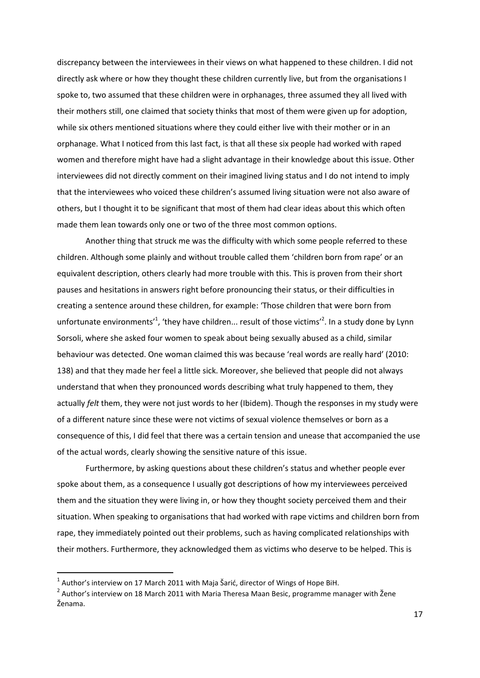discrepancy between the interviewees in their views on what happened to these children. I did not directly ask where or how they thought these children currently live, but from the organisations I spoke to, two assumed that these children were in orphanages, three assumed they all lived with their mothers still, one claimed that society thinks that most of them were given up for adoption, while six others mentioned situations where they could either live with their mother or in an orphanage. What I noticed from this last fact, is that all these six people had worked with raped women and therefore might have had a slight advantage in their knowledge about this issue. Other interviewees did not directly comment on their imagined living status and I do not intend to imply that the interviewees who voiced these children's assumed living situation were not also aware of others, but I thought it to be significant that most of them had clear ideas about this which often made them lean towards only one or two of the three most common options.

Another thing that struck me was the difficulty with which some people referred to these children. Although some plainly and without trouble called them 'children born from rape' or an equivalent description, others clearly had more trouble with this. This is proven from their short pauses and hesitations in answers right before pronouncing their status, or their difficulties in creating a sentence around these children, for example: 'Those children that were born from unfortunate environments<sup>1</sup>, 'they have children... result of those victims<sup>12</sup>. In a study done by Lynn Sorsoli, where she asked four women to speak about being sexually abused as a child, similar behaviour was detected. One woman claimed this was because 'real words are really hard' (2010: 138) and that they made her feel a little sick. Moreover, she believed that people did not always understand that when they pronounced words describing what truly happened to them, they actually *felt* them, they were not just words to her (Ibidem). Though the responses in my study were of a different nature since these were not victims of sexual violence themselves or born as a consequence of this, I did feel that there was a certain tension and unease that accompanied the use of the actual words, clearly showing the sensitive nature of this issue.

Furthermore, by asking questions about these children's status and whether people ever spoke about them, as a consequence I usually got descriptions of how my interviewees perceived them and the situation they were living in, or how they thought society perceived them and their situation. When speaking to organisations that had worked with rape victims and children born from rape, they immediately pointed out their problems, such as having complicated relationships with their mothers. Furthermore, they acknowledged them as victims who deserve to be helped. This is

 $^1$  Author's interview on 17 March 2011 with Maja Šarić, director of Wings of Hope BiH.

 $^2$  Author's interview on 18 March 2011 with Maria Theresa Maan Besic, programme manager with Žene Ženama.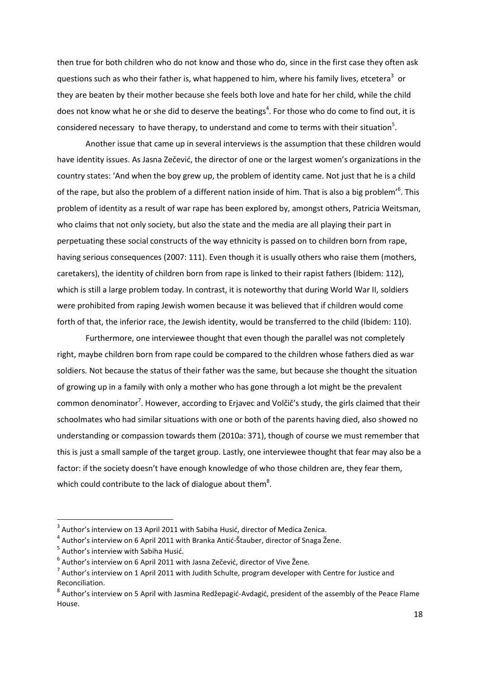then true for both children who do not know and those who do, since in the first case they often ask questions such as who their father is, what happened to him, where his family lives, etcetera<sup>3</sup> or they are beaten by their mother because she feels both love and hate for her child, while the child does not know what he or she did to deserve the beatings<sup>4</sup>. For those who do come to find out, it is considered necessary to have therapy, to understand and come to terms with their situation<sup>5</sup>.

Another issue that came up in several interviews is the assumption that these children would have identity issues. As Jasna Zečević, the director of one or the largest women's organizations in the country states: 'And when the boy grew up, the problem of identity came. Not just that he is a child of the rape, but also the problem of a different nation inside of him. That is also a big problem'<sup>6</sup>. This problem of identity as a result of war rape has been explored by, amongst others, Patricia Weitsman, who claims that not only society, but also the state and the media are all playing their part in perpetuating these social constructs of the way ethnicity is passed on to children born from rape, having serious consequences (2007: 111). Even though it is usually others who raise them (mothers, caretakers), the identity of children born from rape is linked to their rapist fathers (Ibidem: 112), which is still a large problem today. In contrast, it is noteworthy that during World War II, soldiers were prohibited from raping Jewish women because it was believed that if children would come forth of that, the inferior race, the Jewish identity, would be transferred to the child (Ibidem: 110).

Furthermore, one interviewee thought that even though the parallel was not completely right, maybe children born from rape could be compared to the children whose fathers died as war soldiers. Not because the status of their father was the same, but because she thought the situation of growing up in a family with only a mother who has gone through a lot might be the prevalent common denominator<sup>7</sup>. However, according to Erjavec and Volčič's study, the girls claimed that their schoolmates who had similar situations with one or both of the parents having died, also showed no understanding or compassion towards them (2010a: 371), though of course we must remember that this is just a small sample of the target group. Lastly, one interviewee thought that fear may also be a factor: if the society doesn't have enough knowledge of who those children are, they fear them, which could contribute to the lack of dialogue about them<sup>8</sup>.

1

 $3$  Author's interview on 13 April 2011 with Sabiha Husić, director of Medica Zenica.

<sup>&</sup>lt;sup>4</sup> Author's interview on 6 April 2011 with Branka Antić-Štauber, director of Snaga Žene.

 $<sup>5</sup>$  Author's interview with Sabiha Husić.</sup>

<sup>&</sup>lt;sup>6</sup> Author's interview on 6 April 2011 with Jasna Zečević, director of Vive Žene.

 $^7$  Author's interview on 1 April 2011 with Judith Schulte, program developer with Centre for Justice and Reconciliation.

 $^8$  Author's interview on 5 April with Jasmina Redžepagić-Avdagić, president of the assembly of the Peace Flame House.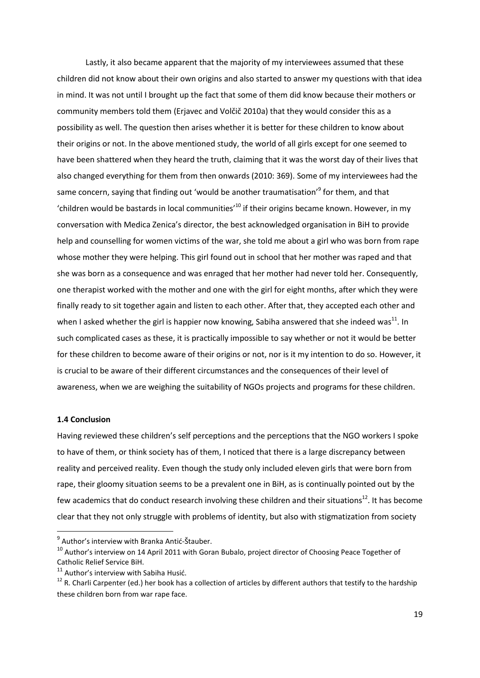Lastly, it also became apparent that the majority of my interviewees assumed that these children did not know about their own origins and also started to answer my questions with that idea in mind. It was not until I brought up the fact that some of them did know because their mothers or community members told them (Erjavec and Volčič 2010a) that they would consider this as a possibility as well. The question then arises whether it is better for these children to know about their origins or not. In the above mentioned study, the world of all girls except for one seemed to have been shattered when they heard the truth, claiming that it was the worst day of their lives that also changed everything for them from then onwards (2010: 369). Some of my interviewees had the same concern, saying that finding out 'would be another traumatisation'<sup>9</sup> for them, and that 'children would be bastards in local communities<sup>'10</sup> if their origins became known. However, in my conversation with Medica Zenica's director, the best acknowledged organisation in BiH to provide help and counselling for women victims of the war, she told me about a girl who was born from rape whose mother they were helping. This girl found out in school that her mother was raped and that she was born as a consequence and was enraged that her mother had never told her. Consequently, one therapist worked with the mother and one with the girl for eight months, after which they were finally ready to sit together again and listen to each other. After that, they accepted each other and when I asked whether the girl is happier now knowing, Sabiha answered that she indeed was<sup>11</sup>. In such complicated cases as these, it is practically impossible to say whether or not it would be better for these children to become aware of their origins or not, nor is it my intention to do so. However, it is crucial to be aware of their different circumstances and the consequences of their level of awareness, when we are weighing the suitability of NGOs projects and programs for these children.

## **1.4 Conclusion**

**.** 

Having reviewed these children's self perceptions and the perceptions that the NGO workers I spoke to have of them, or think society has of them, I noticed that there is a large discrepancy between reality and perceived reality. Even though the study only included eleven girls that were born from rape, their gloomy situation seems to be a prevalent one in BiH, as is continually pointed out by the few academics that do conduct research involving these children and their situations<sup>12</sup>. It has become clear that they not only struggle with problems of identity, but also with stigmatization from society

<sup>9</sup> Author's interview with Branka Antid*-*Štauber.

<sup>&</sup>lt;sup>10</sup> Author's interview on 14 April 2011 with Goran Bubalo, project director of Choosing Peace Together of Catholic Relief Service BiH.

<sup>&</sup>lt;sup>11</sup> Author's interview with Sabiha Husić.

 $12$  R. Charli Carpenter (ed.) her book has a collection of articles by different authors that testify to the hardship these children born from war rape face.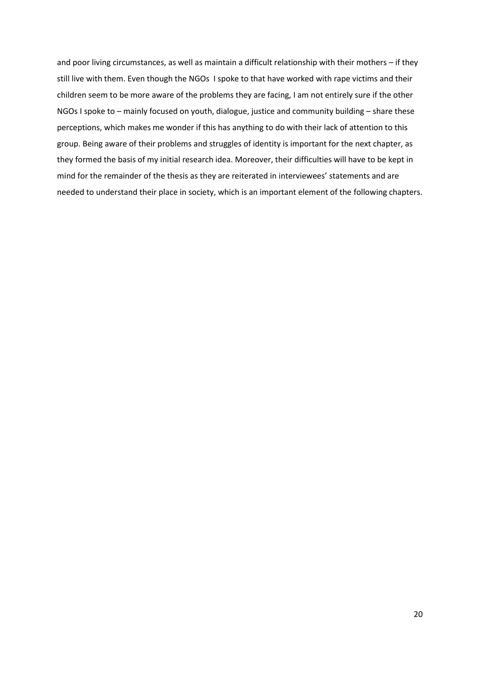and poor living circumstances, as well as maintain a difficult relationship with their mothers – if they still live with them. Even though the NGOs I spoke to that have worked with rape victims and their children seem to be more aware of the problems they are facing, I am not entirely sure if the other NGOs I spoke to – mainly focused on youth, dialogue, justice and community building – share these perceptions, which makes me wonder if this has anything to do with their lack of attention to this group. Being aware of their problems and struggles of identity is important for the next chapter, as they formed the basis of my initial research idea. Moreover, their difficulties will have to be kept in mind for the remainder of the thesis as they are reiterated in interviewees' statements and are needed to understand their place in society, which is an important element of the following chapters.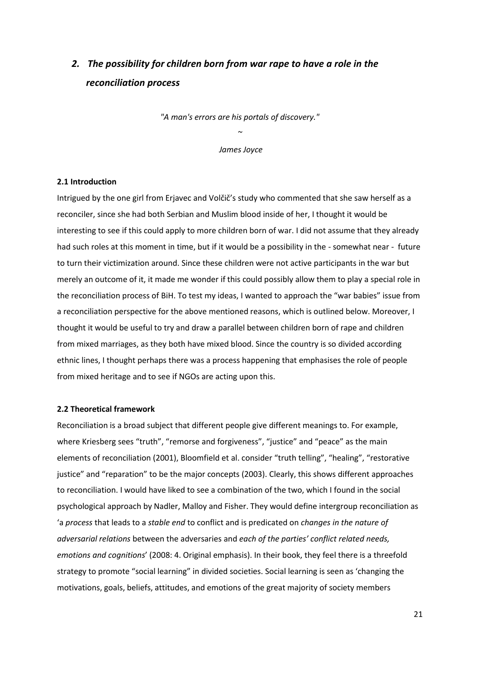## *2. The possibility for children born from war rape to have a role in the reconciliation process*

*"A man's errors are his portals of discovery."* 

*~ James Joyce*

#### **2.1 Introduction**

Intrigued by the one girl from Erjavec and Volčič's study who commented that she saw herself as a reconciler, since she had both Serbian and Muslim blood inside of her, I thought it would be interesting to see if this could apply to more children born of war. I did not assume that they already had such roles at this moment in time, but if it would be a possibility in the - somewhat near - future to turn their victimization around. Since these children were not active participants in the war but merely an outcome of it, it made me wonder if this could possibly allow them to play a special role in the reconciliation process of BiH. To test my ideas, I wanted to approach the "war babies" issue from a reconciliation perspective for the above mentioned reasons, which is outlined below. Moreover, I thought it would be useful to try and draw a parallel between children born of rape and children from mixed marriages, as they both have mixed blood. Since the country is so divided according ethnic lines, I thought perhaps there was a process happening that emphasises the role of people from mixed heritage and to see if NGOs are acting upon this.

#### **2.2 Theoretical framework**

Reconciliation is a broad subject that different people give different meanings to. For example, where Kriesberg sees "truth", "remorse and forgiveness", "justice" and "peace" as the main elements of reconciliation (2001), Bloomfield et al. consider "truth telling", "healing", "restorative justice" and "reparation" to be the major concepts (2003). Clearly, this shows different approaches to reconciliation. I would have liked to see a combination of the two, which I found in the social psychological approach by Nadler, Malloy and Fisher. They would define intergroup reconciliation as 'a *process* that leads to a *stable end* to conflict and is predicated on *changes in the nature of adversarial relations* between the adversaries and *each of the parties' conflict related needs, emotions and cognitions*' (2008: 4. Original emphasis). In their book, they feel there is a threefold strategy to promote "social learning" in divided societies. Social learning is seen as 'changing the motivations, goals, beliefs, attitudes, and emotions of the great majority of society members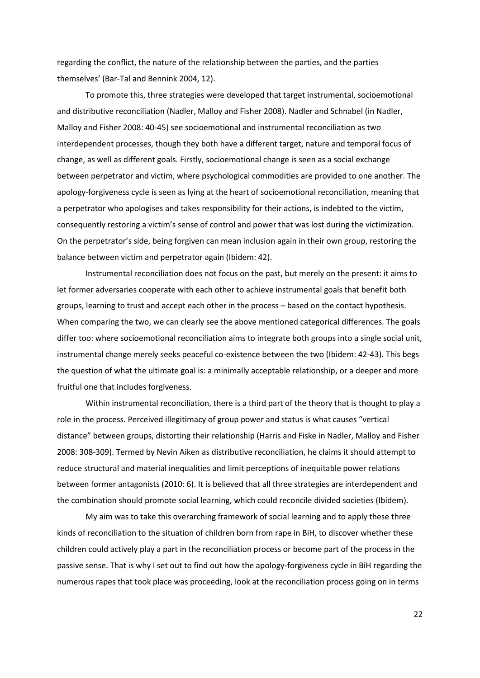regarding the conflict, the nature of the relationship between the parties, and the parties themselves' (Bar-Tal and Bennink 2004, 12).

To promote this, three strategies were developed that target instrumental, socioemotional and distributive reconciliation (Nadler, Malloy and Fisher 2008). Nadler and Schnabel (in Nadler, Malloy and Fisher 2008: 40-45) see socioemotional and instrumental reconciliation as two interdependent processes, though they both have a different target, nature and temporal focus of change, as well as different goals. Firstly, socioemotional change is seen as a social exchange between perpetrator and victim, where psychological commodities are provided to one another. The apology-forgiveness cycle is seen as lying at the heart of socioemotional reconciliation, meaning that a perpetrator who apologises and takes responsibility for their actions, is indebted to the victim, consequently restoring a victim's sense of control and power that was lost during the victimization. On the perpetrator's side, being forgiven can mean inclusion again in their own group, restoring the balance between victim and perpetrator again (Ibidem: 42).

Instrumental reconciliation does not focus on the past, but merely on the present: it aims to let former adversaries cooperate with each other to achieve instrumental goals that benefit both groups, learning to trust and accept each other in the process – based on the contact hypothesis. When comparing the two, we can clearly see the above mentioned categorical differences. The goals differ too: where socioemotional reconciliation aims to integrate both groups into a single social unit, instrumental change merely seeks peaceful co-existence between the two (Ibidem: 42-43). This begs the question of what the ultimate goal is: a minimally acceptable relationship, or a deeper and more fruitful one that includes forgiveness.

Within instrumental reconciliation, there is a third part of the theory that is thought to play a role in the process. Perceived illegitimacy of group power and status is what causes "vertical distance" between groups, distorting their relationship (Harris and Fiske in Nadler, Malloy and Fisher 2008: 308-309). Termed by Nevin Aiken as distributive reconciliation, he claims it should attempt to reduce structural and material inequalities and limit perceptions of inequitable power relations between former antagonists (2010: 6). It is believed that all three strategies are interdependent and the combination should promote social learning, which could reconcile divided societies (Ibidem).

My aim was to take this overarching framework of social learning and to apply these three kinds of reconciliation to the situation of children born from rape in BiH, to discover whether these children could actively play a part in the reconciliation process or become part of the process in the passive sense. That is why I set out to find out how the apology-forgiveness cycle in BiH regarding the numerous rapes that took place was proceeding, look at the reconciliation process going on in terms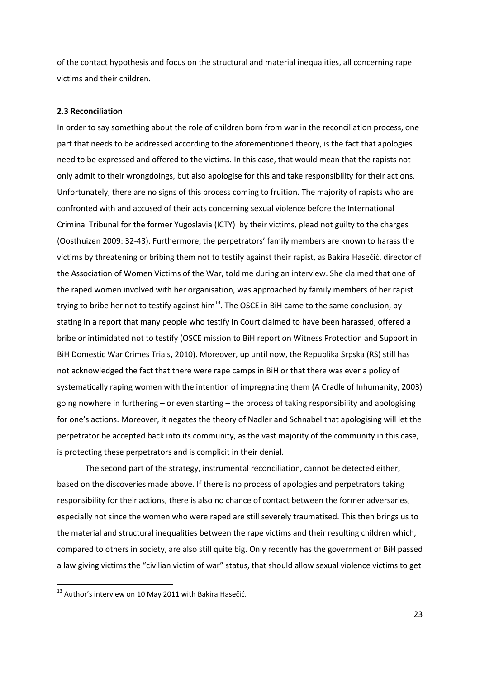of the contact hypothesis and focus on the structural and material inequalities, all concerning rape victims and their children.

#### **2.3 Reconciliation**

In order to say something about the role of children born from war in the reconciliation process, one part that needs to be addressed according to the aforementioned theory, is the fact that apologies need to be expressed and offered to the victims. In this case, that would mean that the rapists not only admit to their wrongdoings, but also apologise for this and take responsibility for their actions. Unfortunately, there are no signs of this process coming to fruition. The majority of rapists who are confronted with and accused of their acts concerning sexual violence before the International Criminal Tribunal for the former Yugoslavia (ICTY) by their victims, plead not guilty to the charges (Oosthuizen 2009: 32-43). Furthermore, the perpetrators' family members are known to harass the victims by threatening or bribing them not to testify against their rapist, as Bakira Hasečić, director of the Association of Women Victims of the War, told me during an interview. She claimed that one of the raped women involved with her organisation, was approached by family members of her rapist trying to bribe her not to testify against him<sup>13</sup>. The OSCE in BiH came to the same conclusion, by stating in a report that many people who testify in Court claimed to have been harassed, offered a bribe or intimidated not to testify (OSCE mission to BiH report on Witness Protection and Support in BiH Domestic War Crimes Trials, 2010). Moreover, up until now, the Republika Srpska (RS) still has not acknowledged the fact that there were rape camps in BiH or that there was ever a policy of systematically raping women with the intention of impregnating them (A Cradle of Inhumanity, 2003) going nowhere in furthering – or even starting – the process of taking responsibility and apologising for one's actions. Moreover, it negates the theory of Nadler and Schnabel that apologising will let the perpetrator be accepted back into its community, as the vast majority of the community in this case, is protecting these perpetrators and is complicit in their denial.

The second part of the strategy, instrumental reconciliation, cannot be detected either, based on the discoveries made above. If there is no process of apologies and perpetrators taking responsibility for their actions, there is also no chance of contact between the former adversaries, especially not since the women who were raped are still severely traumatised. This then brings us to the material and structural inequalities between the rape victims and their resulting children which, compared to others in society, are also still quite big. Only recently has the government of BiH passed a law giving victims the "civilian victim of war" status, that should allow sexual violence victims to get

1

 $^{13}$  Author's interview on 10 May 2011 with Bakira Hasečić.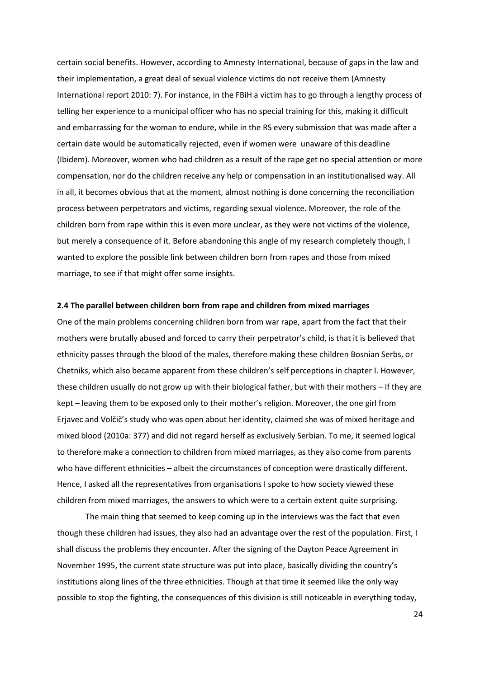certain social benefits. However, according to Amnesty International, because of gaps in the law and their implementation, a great deal of sexual violence victims do not receive them (Amnesty International report 2010: 7). For instance, in the FBiH a victim has to go through a lengthy process of telling her experience to a municipal officer who has no special training for this, making it difficult and embarrassing for the woman to endure, while in the RS every submission that was made after a certain date would be automatically rejected, even if women were unaware of this deadline (Ibidem). Moreover, women who had children as a result of the rape get no special attention or more compensation, nor do the children receive any help or compensation in an institutionalised way. All in all, it becomes obvious that at the moment, almost nothing is done concerning the reconciliation process between perpetrators and victims, regarding sexual violence. Moreover, the role of the children born from rape within this is even more unclear, as they were not victims of the violence, but merely a consequence of it. Before abandoning this angle of my research completely though, I wanted to explore the possible link between children born from rapes and those from mixed marriage, to see if that might offer some insights.

#### **2.4 The parallel between children born from rape and children from mixed marriages**

One of the main problems concerning children born from war rape, apart from the fact that their mothers were brutally abused and forced to carry their perpetrator's child, is that it is believed that ethnicity passes through the blood of the males, therefore making these children Bosnian Serbs, or Chetniks, which also became apparent from these children's self perceptions in chapter I. However, these children usually do not grow up with their biological father, but with their mothers – if they are kept – leaving them to be exposed only to their mother's religion. Moreover, the one girl from Erjavec and Volčič's study who was open about her identity, claimed she was of mixed heritage and mixed blood (2010a: 377) and did not regard herself as exclusively Serbian. To me, it seemed logical to therefore make a connection to children from mixed marriages, as they also come from parents who have different ethnicities – albeit the circumstances of conception were drastically different. Hence, I asked all the representatives from organisations I spoke to how society viewed these children from mixed marriages, the answers to which were to a certain extent quite surprising.

The main thing that seemed to keep coming up in the interviews was the fact that even though these children had issues, they also had an advantage over the rest of the population. First, I shall discuss the problems they encounter. After the signing of the Dayton Peace Agreement in November 1995, the current state structure was put into place, basically dividing the country's institutions along lines of the three ethnicities. Though at that time it seemed like the only way possible to stop the fighting, the consequences of this division is still noticeable in everything today,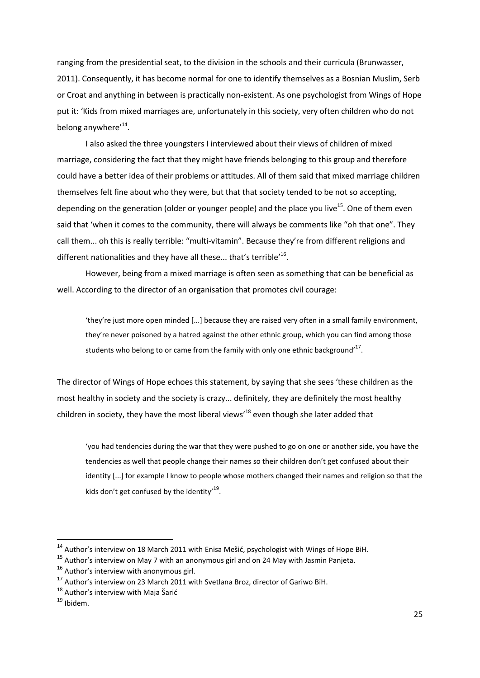ranging from the presidential seat, to the division in the schools and their curricula (Brunwasser, 2011). Consequently, it has become normal for one to identify themselves as a Bosnian Muslim, Serb or Croat and anything in between is practically non-existent. As one psychologist from Wings of Hope put it: 'Kids from mixed marriages are, unfortunately in this society, very often children who do not belong anywhere'<sup>14</sup>.

I also asked the three youngsters I interviewed about their views of children of mixed marriage, considering the fact that they might have friends belonging to this group and therefore could have a better idea of their problems or attitudes. All of them said that mixed marriage children themselves felt fine about who they were, but that that society tended to be not so accepting, depending on the generation (older or younger people) and the place you live<sup>15</sup>. One of them even said that 'when it comes to the community, there will always be comments like "oh that one". They call them... oh this is really terrible: "multi-vitamin". Because they're from different religions and different nationalities and they have all these... that's terrible'<sup>16</sup>.

However, being from a mixed marriage is often seen as something that can be beneficial as well. According to the director of an organisation that promotes civil courage:

'they're just more open minded [...] because they are raised very often in a small family environment, they're never poisoned by a hatred against the other ethnic group, which you can find among those students who belong to or came from the family with only one ethnic background'<sup>17</sup>.

The director of Wings of Hope echoes this statement, by saying that she sees 'these children as the most healthy in society and the society is crazy... definitely, they are definitely the most healthy children in society, they have the most liberal views'<sup>18</sup> even though she later added that

'you had tendencies during the war that they were pushed to go on one or another side, you have the tendencies as well that people change their names so their children don't get confused about their identity [...] for example I know to people whose mothers changed their names and religion so that the kids don't get confused by the identity'<sup>19</sup>.

 $\overline{\phantom{a}}$ 

 $14$  Author's interview on 18 March 2011 with Enisa Mešić, psychologist with Wings of Hope BiH.

<sup>&</sup>lt;sup>15</sup> Author's interview on May 7 with an anonymous girl and on 24 May with Jasmin Panjeta.

 $16$  Author's interview with anonymous girl.

<sup>&</sup>lt;sup>17</sup> Author's interview on 23 March 2011 with Svetlana Broz, director of Gariwo BiH.

 $18$  Author's interview with Maja Šarić

<sup>19</sup> Ibidem.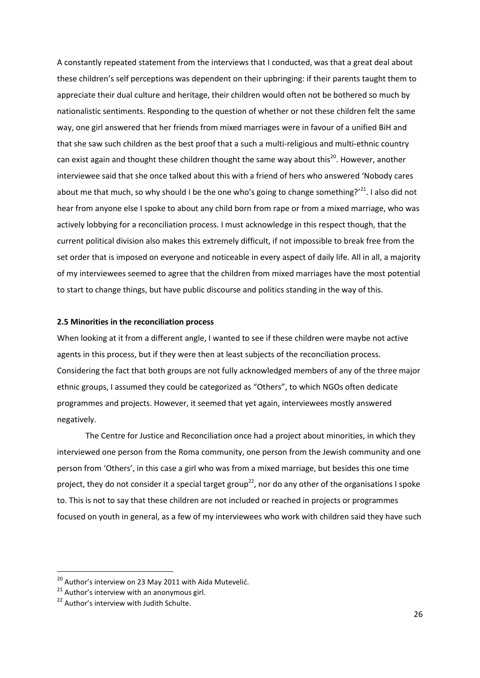A constantly repeated statement from the interviews that I conducted, was that a great deal about these children's self perceptions was dependent on their upbringing: if their parents taught them to appreciate their dual culture and heritage, their children would often not be bothered so much by nationalistic sentiments. Responding to the question of whether or not these children felt the same way, one girl answered that her friends from mixed marriages were in favour of a unified BiH and that she saw such children as the best proof that a such a multi-religious and multi-ethnic country can exist again and thought these children thought the same way about this<sup>20</sup>. However, another interviewee said that she once talked about this with a friend of hers who answered 'Nobody cares about me that much, so why should I be the one who's going to change something?'<sup>21</sup>. I also did not hear from anyone else I spoke to about any child born from rape or from a mixed marriage, who was actively lobbying for a reconciliation process. I must acknowledge in this respect though, that the current political division also makes this extremely difficult, if not impossible to break free from the set order that is imposed on everyone and noticeable in every aspect of daily life. All in all, a majority of my interviewees seemed to agree that the children from mixed marriages have the most potential to start to change things, but have public discourse and politics standing in the way of this.

### **2.5 Minorities in the reconciliation process**

When looking at it from a different angle, I wanted to see if these children were maybe not active agents in this process, but if they were then at least subjects of the reconciliation process. Considering the fact that both groups are not fully acknowledged members of any of the three major ethnic groups, I assumed they could be categorized as "Others", to which NGOs often dedicate programmes and projects. However, it seemed that yet again, interviewees mostly answered negatively.

The Centre for Justice and Reconciliation once had a project about minorities, in which they interviewed one person from the Roma community, one person from the Jewish community and one person from 'Others', in this case a girl who was from a mixed marriage, but besides this one time project, they do not consider it a special target group<sup>22</sup>, nor do any other of the organisations I spoke to. This is not to say that these children are not included or reached in projects or programmes focused on youth in general, as a few of my interviewees who work with children said they have such

 $^{20}$  Author's interview on 23 May 2011 with Aida Mutevelić.

 $21$  Author's interview with an anonymous girl.

<sup>&</sup>lt;sup>22</sup> Author's interview with Judith Schulte.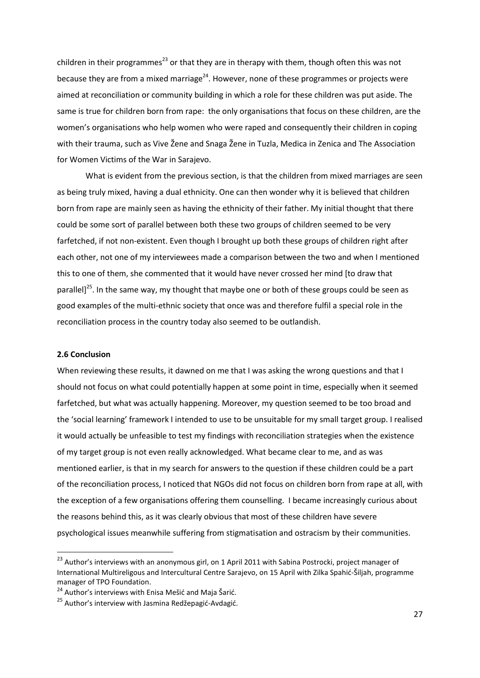children in their programmes<sup>23</sup> or that they are in therapy with them, though often this was not because they are from a mixed marriage<sup>24</sup>. However, none of these programmes or projects were aimed at reconciliation or community building in which a role for these children was put aside. The same is true for children born from rape: the only organisations that focus on these children, are the women's organisations who help women who were raped and consequently their children in coping with their trauma, such as Vive Žene and Snaga Žene in Tuzla, Medica in Zenica and The Association for Women Victims of the War in Sarajevo.

What is evident from the previous section, is that the children from mixed marriages are seen as being truly mixed, having a dual ethnicity. One can then wonder why it is believed that children born from rape are mainly seen as having the ethnicity of their father. My initial thought that there could be some sort of parallel between both these two groups of children seemed to be very farfetched, if not non-existent. Even though I brought up both these groups of children right after each other, not one of my interviewees made a comparison between the two and when I mentioned this to one of them, she commented that it would have never crossed her mind [to draw that parallel $1^{25}$ . In the same way, my thought that maybe one or both of these groups could be seen as good examples of the multi-ethnic society that once was and therefore fulfil a special role in the reconciliation process in the country today also seemed to be outlandish.

#### **2.6 Conclusion**

**.** 

When reviewing these results, it dawned on me that I was asking the wrong questions and that I should not focus on what could potentially happen at some point in time, especially when it seemed farfetched, but what was actually happening. Moreover, my question seemed to be too broad and the 'social learning' framework I intended to use to be unsuitable for my small target group. I realised it would actually be unfeasible to test my findings with reconciliation strategies when the existence of my target group is not even really acknowledged. What became clear to me, and as was mentioned earlier, is that in my search for answers to the question if these children could be a part of the reconciliation process, I noticed that NGOs did not focus on children born from rape at all, with the exception of a few organisations offering them counselling. I became increasingly curious about the reasons behind this, as it was clearly obvious that most of these children have severe psychological issues meanwhile suffering from stigmatisation and ostracism by their communities.

<sup>&</sup>lt;sup>23</sup> Author's interviews with an anonymous girl, on 1 April 2011 with Sabina Postrocki, project manager of International Multireligous and Intercultural Centre Sarajevo, on 15 April with Zilka Spahid-Šiljah, programme manager of TPO Foundation.

<sup>&</sup>lt;sup>24</sup> Author's interviews with Enisa Mešić and Maja Šarić.

<sup>&</sup>lt;sup>25</sup> Author's interview with Jasmina Redžepagić-Avdagić.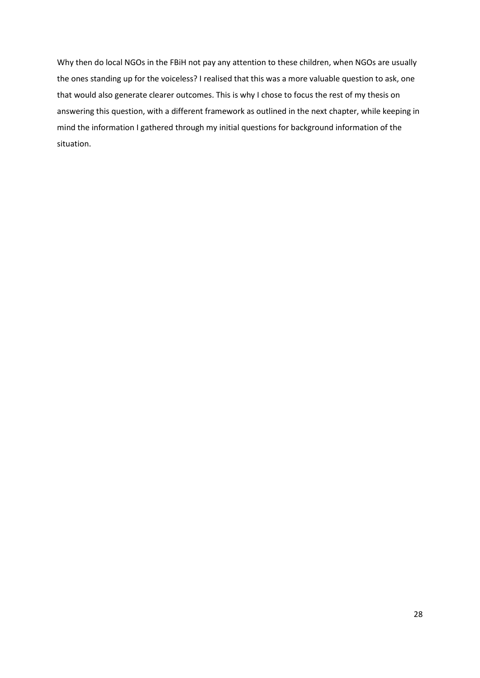Why then do local NGOs in the FBiH not pay any attention to these children, when NGOs are usually the ones standing up for the voiceless? I realised that this was a more valuable question to ask, one that would also generate clearer outcomes. This is why I chose to focus the rest of my thesis on answering this question, with a different framework as outlined in the next chapter, while keeping in mind the information I gathered through my initial questions for background information of the situation.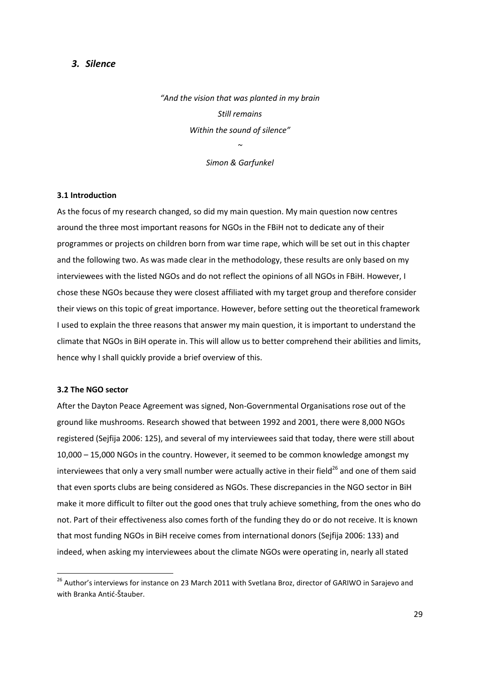## *3. Silence*

*"And the vision that was planted in my brain Still remains Within the sound of silence" ~* 

*Simon & Garfunkel*

#### **3.1 Introduction**

As the focus of my research changed, so did my main question. My main question now centres around the three most important reasons for NGOs in the FBiH not to dedicate any of their programmes or projects on children born from war time rape, which will be set out in this chapter and the following two. As was made clear in the methodology, these results are only based on my interviewees with the listed NGOs and do not reflect the opinions of all NGOs in FBiH. However, I chose these NGOs because they were closest affiliated with my target group and therefore consider their views on this topic of great importance. However, before setting out the theoretical framework I used to explain the three reasons that answer my main question, it is important to understand the climate that NGOs in BiH operate in. This will allow us to better comprehend their abilities and limits, hence why I shall quickly provide a brief overview of this.

#### **3.2 The NGO sector**

**.** 

After the Dayton Peace Agreement was signed, Non-Governmental Organisations rose out of the ground like mushrooms. Research showed that between 1992 and 2001, there were 8,000 NGOs registered (Sejfija 2006: 125), and several of my interviewees said that today, there were still about 10,000 – 15,000 NGOs in the country. However, it seemed to be common knowledge amongst my interviewees that only a very small number were actually active in their field<sup>26</sup> and one of them said that even sports clubs are being considered as NGOs. These discrepancies in the NGO sector in BiH make it more difficult to filter out the good ones that truly achieve something, from the ones who do not. Part of their effectiveness also comes forth of the funding they do or do not receive. It is known that most funding NGOs in BiH receive comes from international donors (Sejfija 2006: 133) and indeed, when asking my interviewees about the climate NGOs were operating in, nearly all stated

<sup>&</sup>lt;sup>26</sup> Author's interviews for instance on 23 March 2011 with Svetlana Broz, director of GARIWO in Sarajevo and with Branka Antić-Štauber.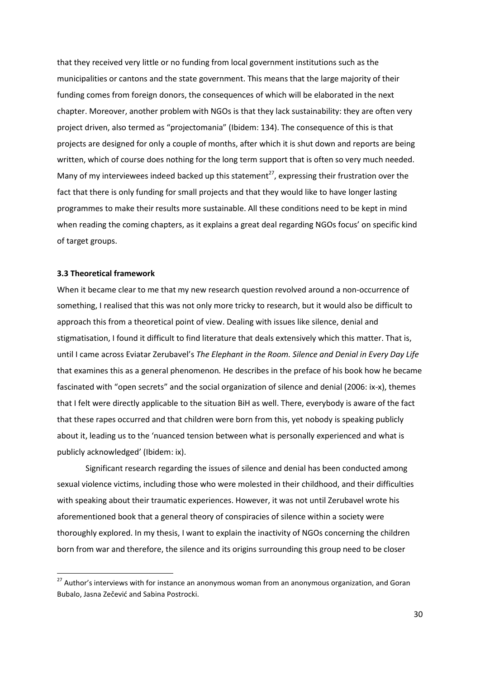that they received very little or no funding from local government institutions such as the municipalities or cantons and the state government. This means that the large majority of their funding comes from foreign donors, the consequences of which will be elaborated in the next chapter. Moreover, another problem with NGOs is that they lack sustainability: they are often very project driven, also termed as "projectomania" (Ibidem: 134). The consequence of this is that projects are designed for only a couple of months, after which it is shut down and reports are being written, which of course does nothing for the long term support that is often so very much needed. Many of my interviewees indeed backed up this statement<sup>27</sup>, expressing their frustration over the fact that there is only funding for small projects and that they would like to have longer lasting programmes to make their results more sustainable. All these conditions need to be kept in mind when reading the coming chapters, as it explains a great deal regarding NGOs focus' on specific kind of target groups.

#### **3.3 Theoretical framework**

**.** 

When it became clear to me that my new research question revolved around a non-occurrence of something, I realised that this was not only more tricky to research, but it would also be difficult to approach this from a theoretical point of view. Dealing with issues like silence, denial and stigmatisation, I found it difficult to find literature that deals extensively which this matter. That is, until I came across Eviatar Zerubavel's *The Elephant in the Room. Silence and Denial in Every Day Life* that examines this as a general phenomenon*.* He describes in the preface of his book how he became fascinated with "open secrets" and the social organization of silence and denial (2006: ix-x), themes that I felt were directly applicable to the situation BiH as well. There, everybody is aware of the fact that these rapes occurred and that children were born from this, yet nobody is speaking publicly about it, leading us to the 'nuanced tension between what is personally experienced and what is publicly acknowledged' (Ibidem: ix).

Significant research regarding the issues of silence and denial has been conducted among sexual violence victims, including those who were molested in their childhood, and their difficulties with speaking about their traumatic experiences. However, it was not until Zerubavel wrote his aforementioned book that a general theory of conspiracies of silence within a society were thoroughly explored. In my thesis, I want to explain the inactivity of NGOs concerning the children born from war and therefore, the silence and its origins surrounding this group need to be closer

<sup>&</sup>lt;sup>27</sup> Author's interviews with for instance an anonymous woman from an anonymous organization, and Goran Bubalo, Jasna Zečević and Sabina Postrocki.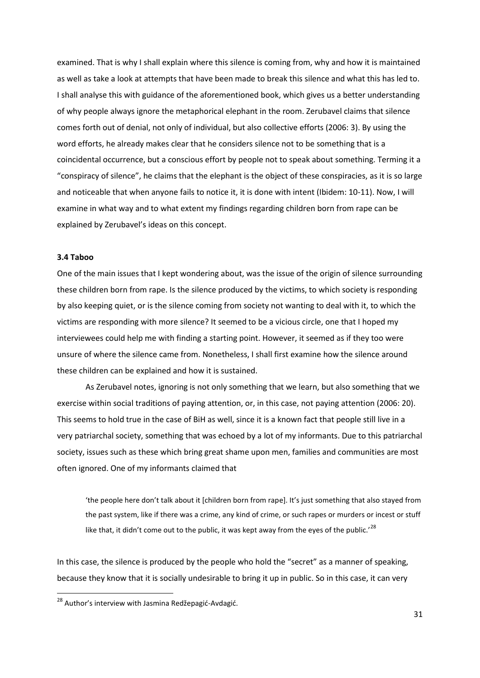examined. That is why I shall explain where this silence is coming from, why and how it is maintained as well as take a look at attempts that have been made to break this silence and what this has led to. I shall analyse this with guidance of the aforementioned book, which gives us a better understanding of why people always ignore the metaphorical elephant in the room. Zerubavel claims that silence comes forth out of denial, not only of individual, but also collective efforts (2006: 3). By using the word efforts, he already makes clear that he considers silence not to be something that is a coincidental occurrence, but a conscious effort by people not to speak about something. Terming it a "conspiracy of silence", he claims that the elephant is the object of these conspiracies, as it is so large and noticeable that when anyone fails to notice it, it is done with intent (Ibidem: 10-11). Now, I will examine in what way and to what extent my findings regarding children born from rape can be explained by Zerubavel's ideas on this concept.

#### **3.4 Taboo**

 $\overline{\phantom{a}}$ 

One of the main issues that I kept wondering about, was the issue of the origin of silence surrounding these children born from rape. Is the silence produced by the victims, to which society is responding by also keeping quiet, or is the silence coming from society not wanting to deal with it, to which the victims are responding with more silence? It seemed to be a vicious circle, one that I hoped my interviewees could help me with finding a starting point. However, it seemed as if they too were unsure of where the silence came from. Nonetheless, I shall first examine how the silence around these children can be explained and how it is sustained.

As Zerubavel notes, ignoring is not only something that we learn, but also something that we exercise within social traditions of paying attention, or, in this case, not paying attention (2006: 20). This seems to hold true in the case of BiH as well, since it is a known fact that people still live in a very patriarchal society, something that was echoed by a lot of my informants. Due to this patriarchal society, issues such as these which bring great shame upon men, families and communities are most often ignored. One of my informants claimed that

'the people here don't talk about it [children born from rape]. It's just something that also stayed from the past system, like if there was a crime, any kind of crime, or such rapes or murders or incest or stuff like that, it didn't come out to the public, it was kept away from the eyes of the public.<sup>28</sup>

In this case, the silence is produced by the people who hold the "secret" as a manner of speaking, because they know that it is socially undesirable to bring it up in public. So in this case, it can very

<sup>&</sup>lt;sup>28</sup> Author's interview with Jasmina Redžepagić-Avdagić.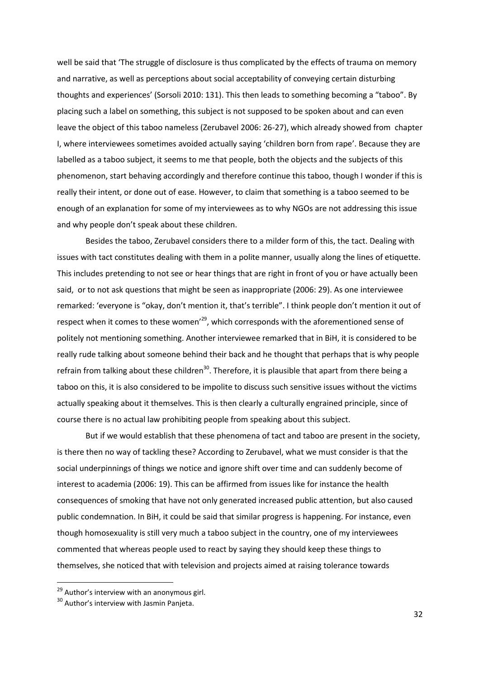well be said that 'The struggle of disclosure is thus complicated by the effects of trauma on memory and narrative, as well as perceptions about social acceptability of conveying certain disturbing thoughts and experiences' (Sorsoli 2010: 131). This then leads to something becoming a "taboo". By placing such a label on something, this subject is not supposed to be spoken about and can even leave the object of this taboo nameless (Zerubavel 2006: 26-27), which already showed from chapter I, where interviewees sometimes avoided actually saying 'children born from rape'. Because they are labelled as a taboo subject, it seems to me that people, both the objects and the subjects of this phenomenon, start behaving accordingly and therefore continue this taboo, though I wonder if this is really their intent, or done out of ease. However, to claim that something is a taboo seemed to be enough of an explanation for some of my interviewees as to why NGOs are not addressing this issue and why people don't speak about these children.

Besides the taboo, Zerubavel considers there to a milder form of this, the tact. Dealing with issues with tact constitutes dealing with them in a polite manner, usually along the lines of etiquette. This includes pretending to not see or hear things that are right in front of you or have actually been said, or to not ask questions that might be seen as inappropriate (2006: 29). As one interviewee remarked: 'everyone is "okay, don't mention it, that's terrible". I think people don't mention it out of respect when it comes to these women<sup>'29</sup>, which corresponds with the aforementioned sense of politely not mentioning something. Another interviewee remarked that in BiH, it is considered to be really rude talking about someone behind their back and he thought that perhaps that is why people refrain from talking about these children<sup>30</sup>. Therefore, it is plausible that apart from there being a taboo on this, it is also considered to be impolite to discuss such sensitive issues without the victims actually speaking about it themselves. This is then clearly a culturally engrained principle, since of course there is no actual law prohibiting people from speaking about this subject.

But if we would establish that these phenomena of tact and taboo are present in the society, is there then no way of tackling these? According to Zerubavel, what we must consider is that the social underpinnings of things we notice and ignore shift over time and can suddenly become of interest to academia (2006: 19). This can be affirmed from issues like for instance the health consequences of smoking that have not only generated increased public attention, but also caused public condemnation. In BiH, it could be said that similar progress is happening. For instance, even though homosexuality is still very much a taboo subject in the country, one of my interviewees commented that whereas people used to react by saying they should keep these things to themselves, she noticed that with television and projects aimed at raising tolerance towards

<sup>&</sup>lt;sup>29</sup> Author's interview with an anonymous girl.

<sup>&</sup>lt;sup>30</sup> Author's interview with Jasmin Panjeta.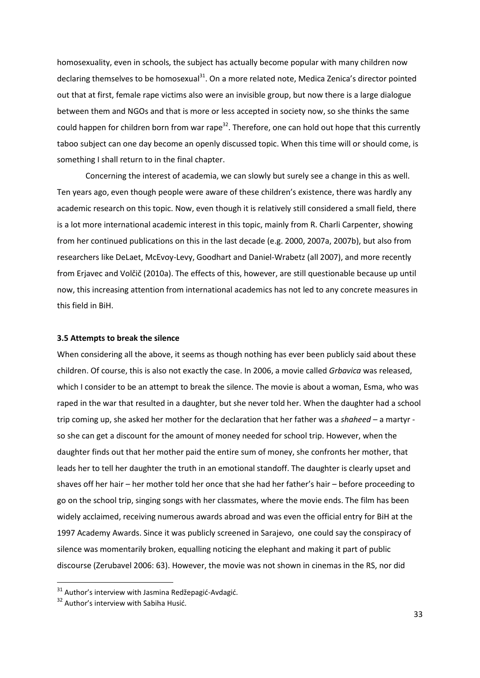homosexuality, even in schools, the subject has actually become popular with many children now declaring themselves to be homosexual<sup>31</sup>. On a more related note, Medica Zenica's director pointed out that at first, female rape victims also were an invisible group, but now there is a large dialogue between them and NGOs and that is more or less accepted in society now, so she thinks the same could happen for children born from war rape<sup>32</sup>. Therefore, one can hold out hope that this currently taboo subject can one day become an openly discussed topic. When this time will or should come, is something I shall return to in the final chapter.

Concerning the interest of academia, we can slowly but surely see a change in this as well. Ten years ago, even though people were aware of these children's existence, there was hardly any academic research on this topic. Now, even though it is relatively still considered a small field, there is a lot more international academic interest in this topic, mainly from R. Charli Carpenter, showing from her continued publications on this in the last decade (e.g. 2000, 2007a, 2007b), but also from researchers like DeLaet, McEvoy-Levy, Goodhart and Daniel-Wrabetz (all 2007), and more recently from Erjavec and Volčič (2010a). The effects of this, however, are still questionable because up until now, this increasing attention from international academics has not led to any concrete measures in this field in BiH.

#### **3.5 Attempts to break the silence**

When considering all the above, it seems as though nothing has ever been publicly said about these children. Of course, this is also not exactly the case. In 2006, a movie called *Grbavica* was released, which I consider to be an attempt to break the silence. The movie is about a woman, Esma, who was raped in the war that resulted in a daughter, but she never told her. When the daughter had a school trip coming up, she asked her mother for the declaration that her father was a *shaheed* – a martyr so she can get a discount for the amount of money needed for school trip. However, when the daughter finds out that her mother paid the entire sum of money, she confronts her mother, that leads her to tell her daughter the truth in an emotional standoff. The daughter is clearly upset and shaves off her hair – her mother told her once that she had her father's hair – before proceeding to go on the school trip, singing songs with her classmates, where the movie ends. The film has been widely acclaimed, receiving numerous awards abroad and was even the official entry for BiH at the 1997 Academy Awards. Since it was publicly screened in Sarajevo, one could say the conspiracy of silence was momentarily broken, equalling noticing the elephant and making it part of public discourse (Zerubavel 2006: 63). However, the movie was not shown in cinemas in the RS, nor did

 $31$  Author's interview with Jasmina Redžepagić-Avdagić.

<sup>&</sup>lt;sup>32</sup> Author's interview with Sabiha Husić.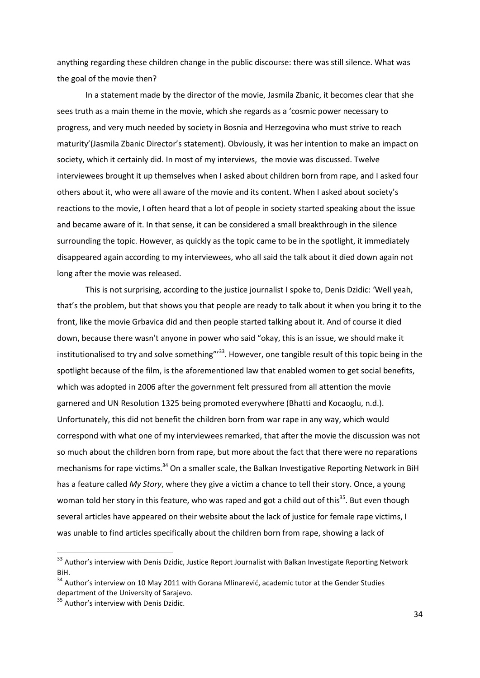anything regarding these children change in the public discourse: there was still silence. What was the goal of the movie then?

In a statement made by the director of the movie, Jasmila Zbanic, it becomes clear that she sees truth as a main theme in the movie, which she regards as a 'cosmic power necessary to progress, and very much needed by society in Bosnia and Herzegovina who must strive to reach maturity'(Jasmila Zbanic Director's statement). Obviously, it was her intention to make an impact on society, which it certainly did. In most of my interviews, the movie was discussed. Twelve interviewees brought it up themselves when I asked about children born from rape, and I asked four others about it, who were all aware of the movie and its content. When I asked about society's reactions to the movie, I often heard that a lot of people in society started speaking about the issue and became aware of it. In that sense, it can be considered a small breakthrough in the silence surrounding the topic. However, as quickly as the topic came to be in the spotlight, it immediately disappeared again according to my interviewees, who all said the talk about it died down again not long after the movie was released.

This is not surprising, according to the justice journalist I spoke to, Denis Dzidic: 'Well yeah, that's the problem, but that shows you that people are ready to talk about it when you bring it to the front, like the movie Grbavica did and then people started talking about it. And of course it died down, because there wasn't anyone in power who said "okay, this is an issue, we should make it institutionalised to try and solve something"<sup>33</sup>. However, one tangible result of this topic being in the spotlight because of the film, is the aforementioned law that enabled women to get social benefits, which was adopted in 2006 after the government felt pressured from all attention the movie garnered and UN Resolution 1325 being promoted everywhere (Bhatti and Kocaoglu, n.d.). Unfortunately, this did not benefit the children born from war rape in any way, which would correspond with what one of my interviewees remarked, that after the movie the discussion was not so much about the children born from rape, but more about the fact that there were no reparations mechanisms for rape victims.<sup>34</sup> On a smaller scale, the Balkan Investigative Reporting Network in BiH has a feature called *My Story*, where they give a victim a chance to tell their story. Once, a young woman told her story in this feature, who was raped and got a child out of this<sup>35</sup>. But even though several articles have appeared on their website about the lack of justice for female rape victims, I was unable to find articles specifically about the children born from rape, showing a lack of

<sup>&</sup>lt;sup>33</sup> Author's interview with Denis Dzidic, Justice Report Journalist with Balkan Investigate Reporting Network BiH.

 $34$  Author's interview on 10 May 2011 with Gorana Mlinarević, academic tutor at the Gender Studies department of the University of Sarajevo.

<sup>&</sup>lt;sup>35</sup> Author's interview with Denis Dzidic.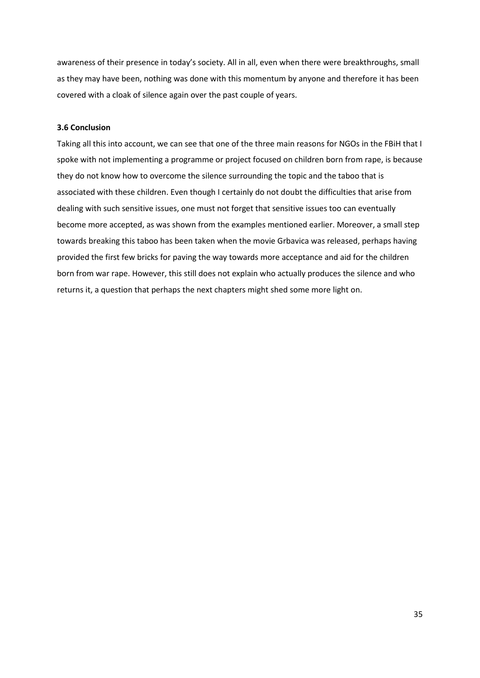awareness of their presence in today's society. All in all, even when there were breakthroughs, small as they may have been, nothing was done with this momentum by anyone and therefore it has been covered with a cloak of silence again over the past couple of years.

## **3.6 Conclusion**

Taking all this into account, we can see that one of the three main reasons for NGOs in the FBiH that I spoke with not implementing a programme or project focused on children born from rape, is because they do not know how to overcome the silence surrounding the topic and the taboo that is associated with these children. Even though I certainly do not doubt the difficulties that arise from dealing with such sensitive issues, one must not forget that sensitive issues too can eventually become more accepted, as was shown from the examples mentioned earlier. Moreover, a small step towards breaking this taboo has been taken when the movie Grbavica was released, perhaps having provided the first few bricks for paving the way towards more acceptance and aid for the children born from war rape. However, this still does not explain who actually produces the silence and who returns it, a question that perhaps the next chapters might shed some more light on.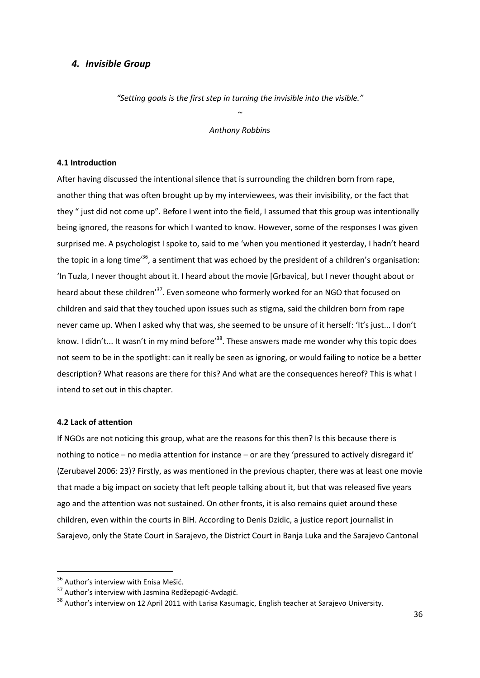## *4. Invisible Group*

*"Setting goals is the first step in turning the invisible into the visible."*

*~ Anthony Robbins*

#### **4.1 Introduction**

After having discussed the intentional silence that is surrounding the children born from rape, another thing that was often brought up by my interviewees, was their invisibility, or the fact that they " just did not come up". Before I went into the field, I assumed that this group was intentionally being ignored, the reasons for which I wanted to know. However, some of the responses I was given surprised me. A psychologist I spoke to, said to me 'when you mentioned it yesterday, I hadn't heard the topic in a long time'<sup>36</sup>, a sentiment that was echoed by the president of a children's organisation: 'In Tuzla, I never thought about it. I heard about the movie [Grbavica], but I never thought about or heard about these children<sup>37</sup>. Even someone who formerly worked for an NGO that focused on children and said that they touched upon issues such as stigma, said the children born from rape never came up. When I asked why that was, she seemed to be unsure of it herself: 'It's just... I don't know. I didn't... It wasn't in my mind before<sup>38</sup>. These answers made me wonder why this topic does not seem to be in the spotlight: can it really be seen as ignoring, or would failing to notice be a better description? What reasons are there for this? And what are the consequences hereof? This is what I intend to set out in this chapter.

#### **4.2 Lack of attention**

If NGOs are not noticing this group, what are the reasons for this then? Is this because there is nothing to notice – no media attention for instance – or are they 'pressured to actively disregard it' (Zerubavel 2006: 23)? Firstly, as was mentioned in the previous chapter, there was at least one movie that made a big impact on society that left people talking about it, but that was released five years ago and the attention was not sustained. On other fronts, it is also remains quiet around these children, even within the courts in BiH. According to Denis Dzidic, a justice report journalist in Sarajevo, only the State Court in Sarajevo, the District Court in Banja Luka and the Sarajevo Cantonal

<sup>&</sup>lt;sup>36</sup> Author's interview with Enisa Mešić.

<sup>&</sup>lt;sup>37</sup> Author's interview with Jasmina Redžepagić-Avdagić.

<sup>&</sup>lt;sup>38</sup> Author's interview on 12 April 2011 with Larisa Kasumagic, English teacher at Sarajevo University.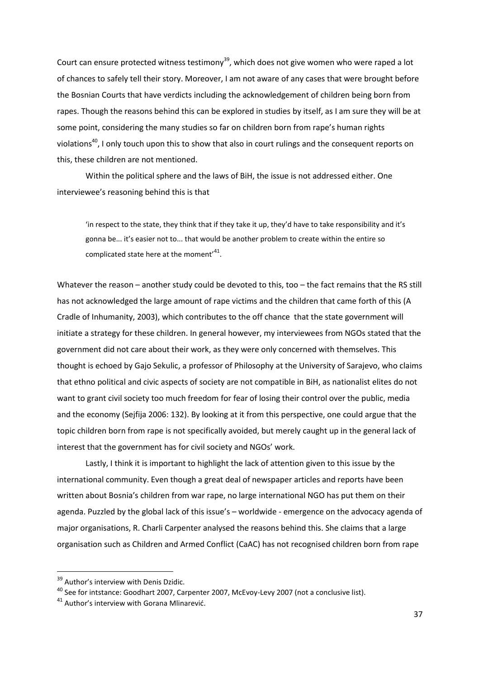Court can ensure protected witness testimony<sup>39</sup>, which does not give women who were raped a lot of chances to safely tell their story. Moreover, I am not aware of any cases that were brought before the Bosnian Courts that have verdicts including the acknowledgement of children being born from rapes. Though the reasons behind this can be explored in studies by itself, as I am sure they will be at some point, considering the many studies so far on children born from rape's human rights violations<sup>40</sup>, I only touch upon this to show that also in court rulings and the consequent reports on this, these children are not mentioned.

Within the political sphere and the laws of BiH, the issue is not addressed either. One interviewee's reasoning behind this is that

'in respect to the state, they think that if they take it up, they'd have to take responsibility and it's gonna be... it's easier not to... that would be another problem to create within the entire so complicated state here at the moment'<sup>41</sup>.

Whatever the reason – another study could be devoted to this, too – the fact remains that the RS still has not acknowledged the large amount of rape victims and the children that came forth of this (A Cradle of Inhumanity, 2003), which contributes to the off chance that the state government will initiate a strategy for these children. In general however, my interviewees from NGOs stated that the government did not care about their work, as they were only concerned with themselves. This thought is echoed by Gajo Sekulic, a professor of Philosophy at the University of Sarajevo, who claims that ethno political and civic aspects of society are not compatible in BiH, as nationalist elites do not want to grant civil society too much freedom for fear of losing their control over the public, media and the economy (Sejfija 2006: 132). By looking at it from this perspective, one could argue that the topic children born from rape is not specifically avoided, but merely caught up in the general lack of interest that the government has for civil society and NGOs' work.

Lastly, I think it is important to highlight the lack of attention given to this issue by the international community. Even though a great deal of newspaper articles and reports have been written about Bosnia's children from war rape, no large international NGO has put them on their agenda. Puzzled by the global lack of this issue's – worldwide - emergence on the advocacy agenda of major organisations, R. Charli Carpenter analysed the reasons behind this. She claims that a large organisation such as Children and Armed Conflict (CaAC) has not recognised children born from rape

<sup>&</sup>lt;sup>39</sup> Author's interview with Denis Dzidic.

 $^{40}$  See for intstance: Goodhart 2007, Carpenter 2007, McEvoy-Levy 2007 (not a conclusive list).

<sup>&</sup>lt;sup>41</sup> Author's interview with Gorana Mlinarević.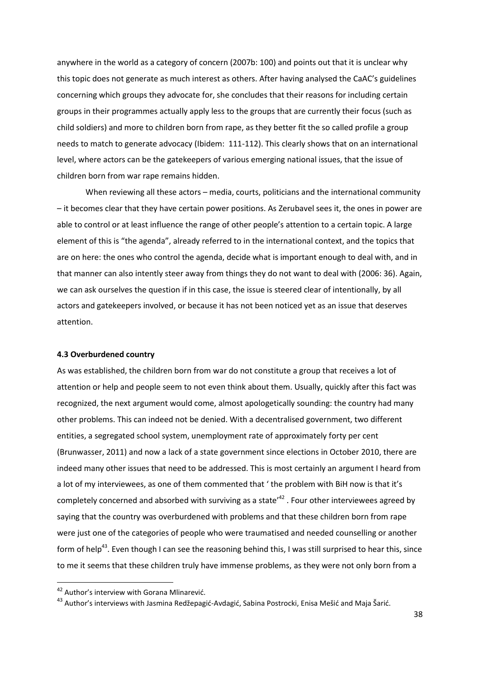anywhere in the world as a category of concern (2007b: 100) and points out that it is unclear why this topic does not generate as much interest as others. After having analysed the CaAC's guidelines concerning which groups they advocate for, she concludes that their reasons for including certain groups in their programmes actually apply less to the groups that are currently their focus (such as child soldiers) and more to children born from rape, as they better fit the so called profile a group needs to match to generate advocacy (Ibidem: 111-112). This clearly shows that on an international level, where actors can be the gatekeepers of various emerging national issues, that the issue of children born from war rape remains hidden.

When reviewing all these actors – media, courts, politicians and the international community – it becomes clear that they have certain power positions. As Zerubavel sees it, the ones in power are able to control or at least influence the range of other people's attention to a certain topic. A large element of this is "the agenda", already referred to in the international context, and the topics that are on here: the ones who control the agenda, decide what is important enough to deal with, and in that manner can also intently steer away from things they do not want to deal with (2006: 36). Again, we can ask ourselves the question if in this case, the issue is steered clear of intentionally, by all actors and gatekeepers involved, or because it has not been noticed yet as an issue that deserves attention.

#### **4.3 Overburdened country**

As was established, the children born from war do not constitute a group that receives a lot of attention or help and people seem to not even think about them. Usually, quickly after this fact was recognized, the next argument would come, almost apologetically sounding: the country had many other problems. This can indeed not be denied. With a decentralised government, two different entities, a segregated school system, unemployment rate of approximately forty per cent (Brunwasser, 2011) and now a lack of a state government since elections in October 2010, there are indeed many other issues that need to be addressed. This is most certainly an argument I heard from a lot of my interviewees, as one of them commented that ' the problem with BiH now is that it's completely concerned and absorbed with surviving as a state<sup> $42$ </sup>. Four other interviewees agreed by saying that the country was overburdened with problems and that these children born from rape were just one of the categories of people who were traumatised and needed counselling or another form of help<sup>43</sup>. Even though I can see the reasoning behind this, I was still surprised to hear this, since to me it seems that these children truly have immense problems, as they were not only born from a

<sup>&</sup>lt;sup>42</sup> Author's interview with Gorana Mlinarević.

<sup>&</sup>lt;sup>43</sup> Author's interviews with Jasmina Redžepagić-Avdagić, Sabina Postrocki, Enisa Mešić and Maja Šarić.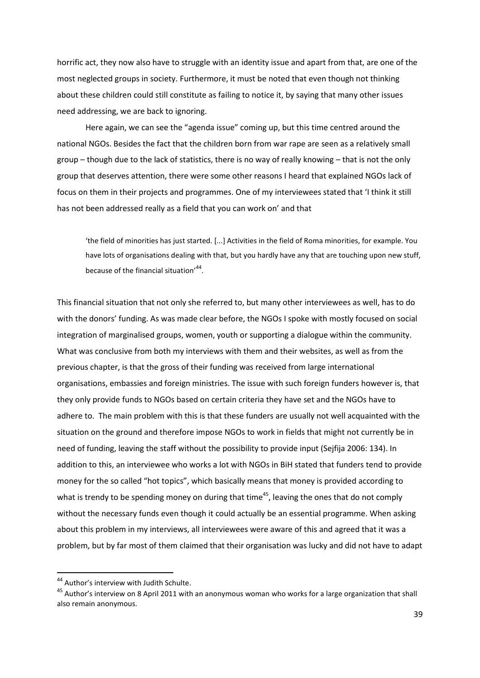horrific act, they now also have to struggle with an identity issue and apart from that, are one of the most neglected groups in society. Furthermore, it must be noted that even though not thinking about these children could still constitute as failing to notice it, by saying that many other issues need addressing, we are back to ignoring.

Here again, we can see the "agenda issue" coming up, but this time centred around the national NGOs. Besides the fact that the children born from war rape are seen as a relatively small group – though due to the lack of statistics, there is no way of really knowing – that is not the only group that deserves attention, there were some other reasons I heard that explained NGOs lack of focus on them in their projects and programmes. One of my interviewees stated that 'I think it still has not been addressed really as a field that you can work on' and that

'the field of minorities has just started. [...] Activities in the field of Roma minorities, for example. You have lots of organisations dealing with that, but you hardly have any that are touching upon new stuff, because of the financial situation'<sup>44</sup>.

This financial situation that not only she referred to, but many other interviewees as well, has to do with the donors' funding. As was made clear before, the NGOs I spoke with mostly focused on social integration of marginalised groups, women, youth or supporting a dialogue within the community. What was conclusive from both my interviews with them and their websites, as well as from the previous chapter, is that the gross of their funding was received from large international organisations, embassies and foreign ministries. The issue with such foreign funders however is, that they only provide funds to NGOs based on certain criteria they have set and the NGOs have to adhere to. The main problem with this is that these funders are usually not well acquainted with the situation on the ground and therefore impose NGOs to work in fields that might not currently be in need of funding, leaving the staff without the possibility to provide input (Sejfija 2006: 134). In addition to this, an interviewee who works a lot with NGOs in BiH stated that funders tend to provide money for the so called "hot topics", which basically means that money is provided according to what is trendy to be spending money on during that time<sup>45</sup>, leaving the ones that do not comply without the necessary funds even though it could actually be an essential programme. When asking about this problem in my interviews, all interviewees were aware of this and agreed that it was a problem, but by far most of them claimed that their organisation was lucky and did not have to adapt

<sup>&</sup>lt;sup>44</sup> Author's interview with Judith Schulte.

<sup>&</sup>lt;sup>45</sup> Author's interview on 8 April 2011 with an anonymous woman who works for a large organization that shall also remain anonymous.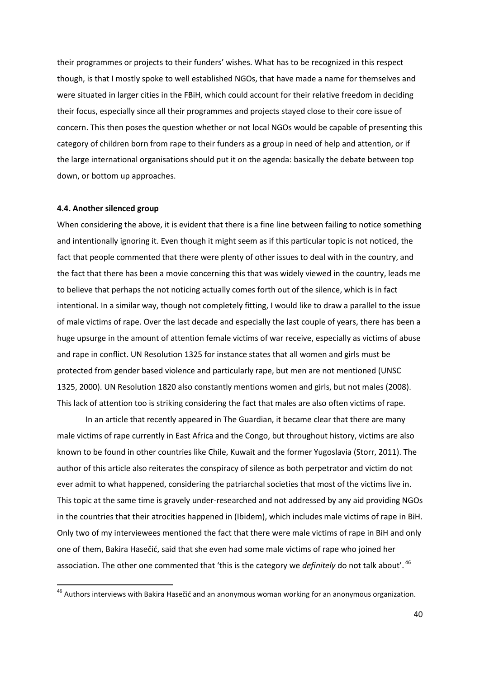their programmes or projects to their funders' wishes. What has to be recognized in this respect though, is that I mostly spoke to well established NGOs, that have made a name for themselves and were situated in larger cities in the FBiH, which could account for their relative freedom in deciding their focus, especially since all their programmes and projects stayed close to their core issue of concern. This then poses the question whether or not local NGOs would be capable of presenting this category of children born from rape to their funders as a group in need of help and attention, or if the large international organisations should put it on the agenda: basically the debate between top down, or bottom up approaches.

#### **4.4. Another silenced group**

1

When considering the above, it is evident that there is a fine line between failing to notice something and intentionally ignoring it. Even though it might seem as if this particular topic is not noticed, the fact that people commented that there were plenty of other issues to deal with in the country, and the fact that there has been a movie concerning this that was widely viewed in the country, leads me to believe that perhaps the not noticing actually comes forth out of the silence, which is in fact intentional. In a similar way, though not completely fitting, I would like to draw a parallel to the issue of male victims of rape. Over the last decade and especially the last couple of years, there has been a huge upsurge in the amount of attention female victims of war receive, especially as victims of abuse and rape in conflict. UN Resolution 1325 for instance states that all women and girls must be protected from gender based violence and particularly rape, but men are not mentioned (UNSC 1325, 2000). UN Resolution 1820 also constantly mentions women and girls, but not males (2008). This lack of attention too is striking considering the fact that males are also often victims of rape.

In an article that recently appeared in The Guardian, it became clear that there are many male victims of rape currently in East Africa and the Congo, but throughout history, victims are also known to be found in other countries like Chile, Kuwait and the former Yugoslavia (Storr, 2011). The author of this article also reiterates the conspiracy of silence as both perpetrator and victim do not ever admit to what happened, considering the patriarchal societies that most of the victims live in. This topic at the same time is gravely under-researched and not addressed by any aid providing NGOs in the countries that their atrocities happened in (Ibidem), which includes male victims of rape in BiH. Only two of my interviewees mentioned the fact that there were male victims of rape in BiH and only one of them, Bakira Hasečid, said that she even had some male victims of rape who joined her association. The other one commented that 'this is the category we *definitely* do not talk about'. <sup>46</sup>

<sup>&</sup>lt;sup>46</sup> Authors interviews with Bakira Hasečić and an anonymous woman working for an anonymous organization.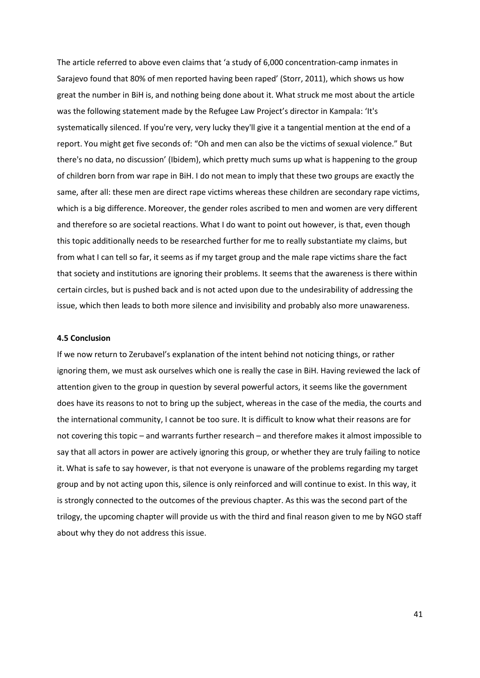The article referred to above even claims that 'a study of 6,000 concentration-camp inmates in Sarajevo found that 80% of men reported having been raped' (Storr, 2011), which shows us how great the number in BiH is, and nothing being done about it. What struck me most about the article was the following statement made by the Refugee Law Project's director in Kampala: 'It's systematically silenced. If you're very, very lucky they'll give it a tangential mention at the end of a report. You might get five seconds of: "Oh and men can also be the victims of sexual violence." But there's no data, no discussion' (Ibidem), which pretty much sums up what is happening to the group of children born from war rape in BiH. I do not mean to imply that these two groups are exactly the same, after all: these men are direct rape victims whereas these children are secondary rape victims, which is a big difference. Moreover, the gender roles ascribed to men and women are very different and therefore so are societal reactions. What I do want to point out however, is that, even though this topic additionally needs to be researched further for me to really substantiate my claims, but from what I can tell so far, it seems as if my target group and the male rape victims share the fact that society and institutions are ignoring their problems. It seems that the awareness is there within certain circles, but is pushed back and is not acted upon due to the undesirability of addressing the issue, which then leads to both more silence and invisibility and probably also more unawareness.

#### **4.5 Conclusion**

If we now return to Zerubavel's explanation of the intent behind not noticing things, or rather ignoring them, we must ask ourselves which one is really the case in BiH. Having reviewed the lack of attention given to the group in question by several powerful actors, it seems like the government does have its reasons to not to bring up the subject, whereas in the case of the media, the courts and the international community, I cannot be too sure. It is difficult to know what their reasons are for not covering this topic – and warrants further research – and therefore makes it almost impossible to say that all actors in power are actively ignoring this group, or whether they are truly failing to notice it. What is safe to say however, is that not everyone is unaware of the problems regarding my target group and by not acting upon this, silence is only reinforced and will continue to exist. In this way, it is strongly connected to the outcomes of the previous chapter. As this was the second part of the trilogy, the upcoming chapter will provide us with the third and final reason given to me by NGO staff about why they do not address this issue.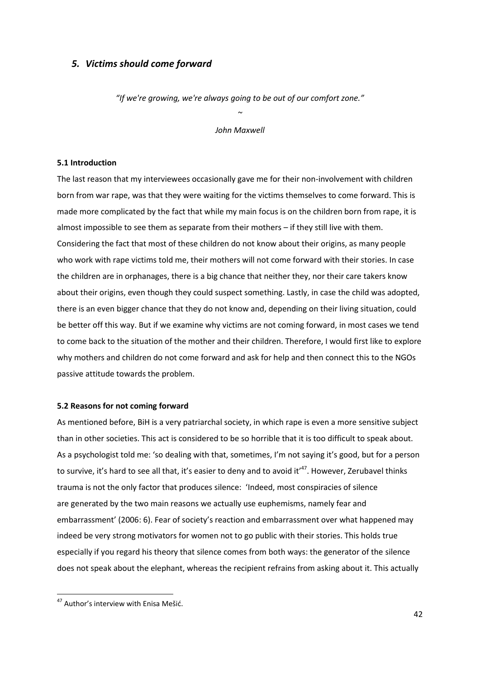## *5. Victims should come forward*

*"If we're growing, we're always going to be out of our comfort zone."*

*~ John Maxwell*

#### **5.1 Introduction**

The last reason that my interviewees occasionally gave me for their non-involvement with children born from war rape, was that they were waiting for the victims themselves to come forward. This is made more complicated by the fact that while my main focus is on the children born from rape, it is almost impossible to see them as separate from their mothers – if they still live with them. Considering the fact that most of these children do not know about their origins, as many people who work with rape victims told me, their mothers will not come forward with their stories. In case the children are in orphanages, there is a big chance that neither they, nor their care takers know about their origins, even though they could suspect something. Lastly, in case the child was adopted, there is an even bigger chance that they do not know and, depending on their living situation, could be better off this way. But if we examine why victims are not coming forward, in most cases we tend to come back to the situation of the mother and their children. Therefore, I would first like to explore why mothers and children do not come forward and ask for help and then connect this to the NGOs passive attitude towards the problem.

#### **5.2 Reasons for not coming forward**

As mentioned before, BiH is a very patriarchal society, in which rape is even a more sensitive subject than in other societies. This act is considered to be so horrible that it is too difficult to speak about. As a psychologist told me: 'so dealing with that, sometimes, I'm not saying it's good, but for a person to survive, it's hard to see all that, it's easier to deny and to avoid it<sup>147</sup>. However, Zerubavel thinks trauma is not the only factor that produces silence: 'Indeed, most conspiracies of silence are generated by the two main reasons we actually use euphemisms, namely fear and embarrassment' (2006: 6). Fear of society's reaction and embarrassment over what happened may indeed be very strong motivators for women not to go public with their stories. This holds true especially if you regard his theory that silence comes from both ways: the generator of the silence does not speak about the elephant, whereas the recipient refrains from asking about it. This actually

<sup>&</sup>lt;sup>47</sup> Author's interview with Enisa Mešić.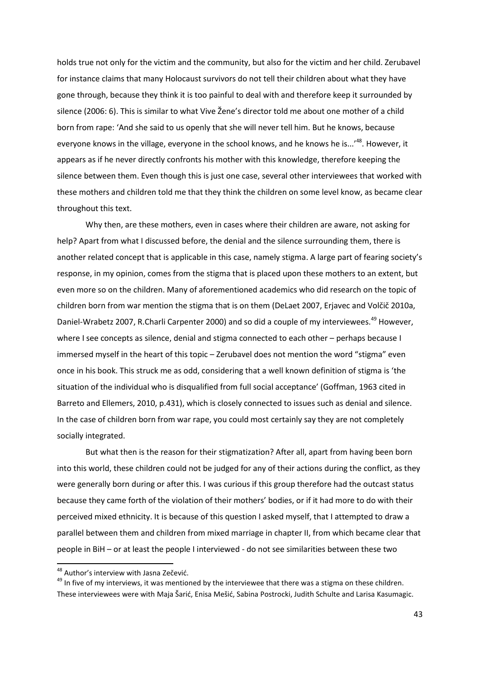holds true not only for the victim and the community, but also for the victim and her child. Zerubavel for instance claims that many Holocaust survivors do not tell their children about what they have gone through, because they think it is too painful to deal with and therefore keep it surrounded by silence (2006: 6). This is similar to what Vive Žene's director told me about one mother of a child born from rape: 'And she said to us openly that she will never tell him. But he knows, because everyone knows in the village, everyone in the school knows, and he knows he is...<sup>148</sup>. However, it appears as if he never directly confronts his mother with this knowledge, therefore keeping the silence between them. Even though this is just one case, several other interviewees that worked with these mothers and children told me that they think the children on some level know, as became clear throughout this text.

Why then, are these mothers, even in cases where their children are aware, not asking for help? Apart from what I discussed before, the denial and the silence surrounding them, there is another related concept that is applicable in this case, namely stigma. A large part of fearing society's response, in my opinion, comes from the stigma that is placed upon these mothers to an extent, but even more so on the children. Many of aforementioned academics who did research on the topic of children born from war mention the stigma that is on them (DeLaet 2007, Erjavec and Volčič 2010a, Daniel-Wrabetz 2007, R.Charli Carpenter 2000) and so did a couple of my interviewees.<sup>49</sup> However, where I see concepts as silence, denial and stigma connected to each other – perhaps because I immersed myself in the heart of this topic – Zerubavel does not mention the word "stigma" even once in his book. This struck me as odd, considering that a well known definition of stigma is 'the situation of the individual who is disqualified from full social acceptance' (Goffman, 1963 cited in Barreto and Ellemers, 2010, p.431), which is closely connected to issues such as denial and silence. In the case of children born from war rape, you could most certainly say they are not completely socially integrated.

But what then is the reason for their stigmatization? After all, apart from having been born into this world, these children could not be judged for any of their actions during the conflict, as they were generally born during or after this. I was curious if this group therefore had the outcast status because they came forth of the violation of their mothers' bodies, or if it had more to do with their perceived mixed ethnicity. It is because of this question I asked myself, that I attempted to draw a parallel between them and children from mixed marriage in chapter II, from which became clear that people in BiH – or at least the people I interviewed - do not see similarities between these two

1

<sup>&</sup>lt;sup>48</sup> Author's interview with Jasna Zečević.

<sup>&</sup>lt;sup>49</sup> In five of my interviews, it was mentioned by the interviewee that there was a stigma on these children. These interviewees were with Maja Šarić, Enisa Mešić, Sabina Postrocki, Judith Schulte and Larisa Kasumagic.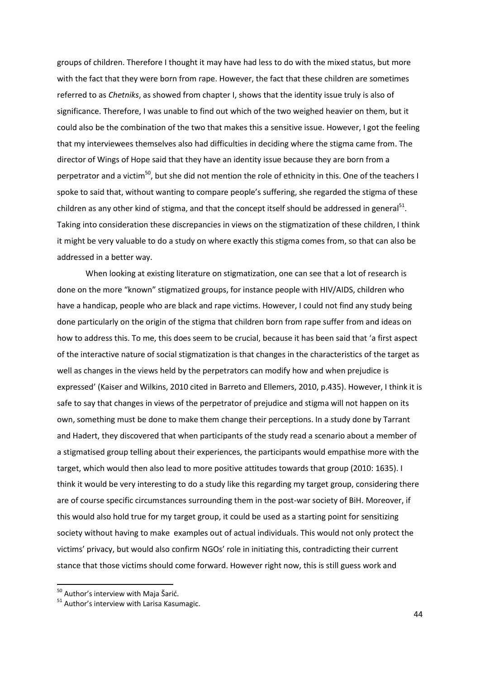groups of children. Therefore I thought it may have had less to do with the mixed status, but more with the fact that they were born from rape. However, the fact that these children are sometimes referred to as *Chetniks*, as showed from chapter I, shows that the identity issue truly is also of significance. Therefore, I was unable to find out which of the two weighed heavier on them, but it could also be the combination of the two that makes this a sensitive issue. However, I got the feeling that my interviewees themselves also had difficulties in deciding where the stigma came from. The director of Wings of Hope said that they have an identity issue because they are born from a perpetrator and a victim<sup>50</sup>, but she did not mention the role of ethnicity in this. One of the teachers I spoke to said that, without wanting to compare people's suffering, she regarded the stigma of these children as any other kind of stigma, and that the concept itself should be addressed in general $^{51}$ . Taking into consideration these discrepancies in views on the stigmatization of these children, I think it might be very valuable to do a study on where exactly this stigma comes from, so that can also be addressed in a better way.

When looking at existing literature on stigmatization, one can see that a lot of research is done on the more "known" stigmatized groups, for instance people with HIV/AIDS, children who have a handicap, people who are black and rape victims. However, I could not find any study being done particularly on the origin of the stigma that children born from rape suffer from and ideas on how to address this. To me, this does seem to be crucial, because it has been said that 'a first aspect of the interactive nature of social stigmatization is that changes in the characteristics of the target as well as changes in the views held by the perpetrators can modify how and when prejudice is expressed' (Kaiser and Wilkins, 2010 cited in Barreto and Ellemers, 2010, p.435). However, I think it is safe to say that changes in views of the perpetrator of prejudice and stigma will not happen on its own, something must be done to make them change their perceptions. In a study done by Tarrant and Hadert, they discovered that when participants of the study read a scenario about a member of a stigmatised group telling about their experiences, the participants would empathise more with the target, which would then also lead to more positive attitudes towards that group (2010: 1635). I think it would be very interesting to do a study like this regarding my target group, considering there are of course specific circumstances surrounding them in the post-war society of BiH. Moreover, if this would also hold true for my target group, it could be used as a starting point for sensitizing society without having to make examples out of actual individuals. This would not only protect the victims' privacy, but would also confirm NGOs' role in initiating this, contradicting their current stance that those victims should come forward. However right now, this is still guess work and

 $50$  Author's interview with Maja Šarić.

<sup>&</sup>lt;sup>51</sup> Author's interview with Larisa Kasumagic.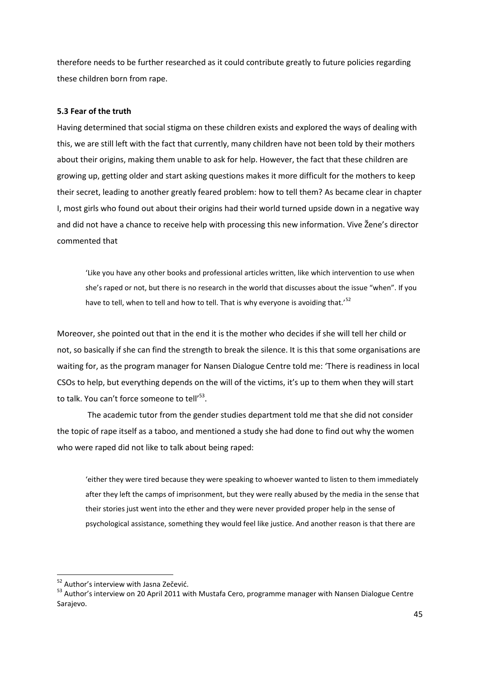therefore needs to be further researched as it could contribute greatly to future policies regarding these children born from rape.

#### **5.3 Fear of the truth**

Having determined that social stigma on these children exists and explored the ways of dealing with this, we are still left with the fact that currently, many children have not been told by their mothers about their origins, making them unable to ask for help. However, the fact that these children are growing up, getting older and start asking questions makes it more difficult for the mothers to keep their secret, leading to another greatly feared problem: how to tell them? As became clear in chapter I, most girls who found out about their origins had their world turned upside down in a negative way and did not have a chance to receive help with processing this new information. Vive Žene's director commented that

'Like you have any other books and professional articles written, like which intervention to use when she's raped or not, but there is no research in the world that discusses about the issue "when". If you have to tell, when to tell and how to tell. That is why everyone is avoiding that.<sup>52</sup>

Moreover, she pointed out that in the end it is the mother who decides if she will tell her child or not, so basically if she can find the strength to break the silence. It is this that some organisations are waiting for, as the program manager for Nansen Dialogue Centre told me: 'There is readiness in local CSOs to help, but everything depends on the will of the victims, it's up to them when they will start to talk. You can't force someone to tell'<sup>53</sup>.

The academic tutor from the gender studies department told me that she did not consider the topic of rape itself as a taboo, and mentioned a study she had done to find out why the women who were raped did not like to talk about being raped:

'either they were tired because they were speaking to whoever wanted to listen to them immediately after they left the camps of imprisonment, but they were really abused by the media in the sense that their stories just went into the ether and they were never provided proper help in the sense of psychological assistance, something they would feel like justice. And another reason is that there are

<sup>&</sup>lt;sup>52</sup> Author's interview with Jasna Zečević.

<sup>&</sup>lt;sup>53</sup> Author's interview on 20 April 2011 with Mustafa Cero, programme manager with Nansen Dialogue Centre Sarajevo.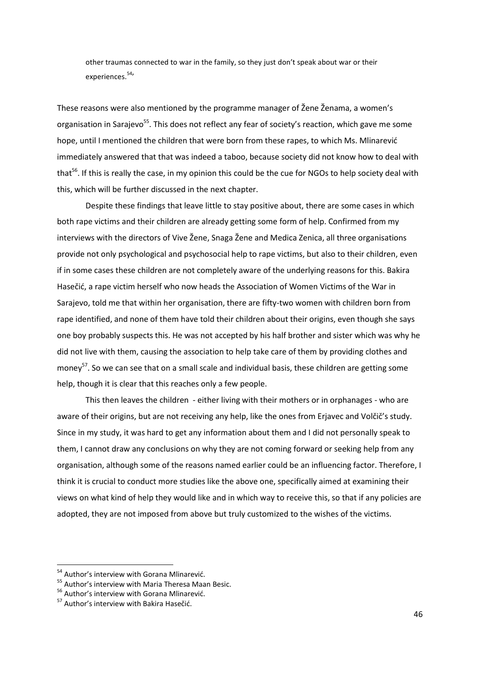other traumas connected to war in the family, so they just don't speak about war or their experiences.<sup>54,</sup>

These reasons were also mentioned by the programme manager of Žene Ženama, a women's organisation in Saraievo<sup>55</sup>. This does not reflect any fear of society's reaction, which gave me some hope, until I mentioned the children that were born from these rapes, to which Ms. Mlinarević immediately answered that that was indeed a taboo, because society did not know how to deal with that<sup>56</sup>. If this is really the case, in my opinion this could be the cue for NGOs to help society deal with this, which will be further discussed in the next chapter.

Despite these findings that leave little to stay positive about, there are some cases in which both rape victims and their children are already getting some form of help. Confirmed from my interviews with the directors of Vive Žene, Snaga Žene and Medica Zenica, all three organisations provide not only psychological and psychosocial help to rape victims, but also to their children, even if in some cases these children are not completely aware of the underlying reasons for this. Bakira Hasečić, a rape victim herself who now heads the Association of Women Victims of the War in Sarajevo, told me that within her organisation, there are fifty-two women with children born from rape identified, and none of them have told their children about their origins, even though she says one boy probably suspects this. He was not accepted by his half brother and sister which was why he did not live with them, causing the association to help take care of them by providing clothes and money<sup>57</sup>. So we can see that on a small scale and individual basis, these children are getting some help, though it is clear that this reaches only a few people.

This then leaves the children - either living with their mothers or in orphanages - who are aware of their origins, but are not receiving any help, like the ones from Erjavec and Volčič's study. Since in my study, it was hard to get any information about them and I did not personally speak to them, I cannot draw any conclusions on why they are not coming forward or seeking help from any organisation, although some of the reasons named earlier could be an influencing factor. Therefore, I think it is crucial to conduct more studies like the above one, specifically aimed at examining their views on what kind of help they would like and in which way to receive this, so that if any policies are adopted, they are not imposed from above but truly customized to the wishes of the victims.

<sup>&</sup>lt;sup>54</sup> Author's interview with Gorana Mlinarević.

<sup>&</sup>lt;sup>55</sup> Author's interview with Maria Theresa Maan Besic.

<sup>&</sup>lt;sup>56</sup> Author's interview with Gorana Mlinarević.

<sup>&</sup>lt;sup>57</sup> Author's interview with Bakira Hasečić.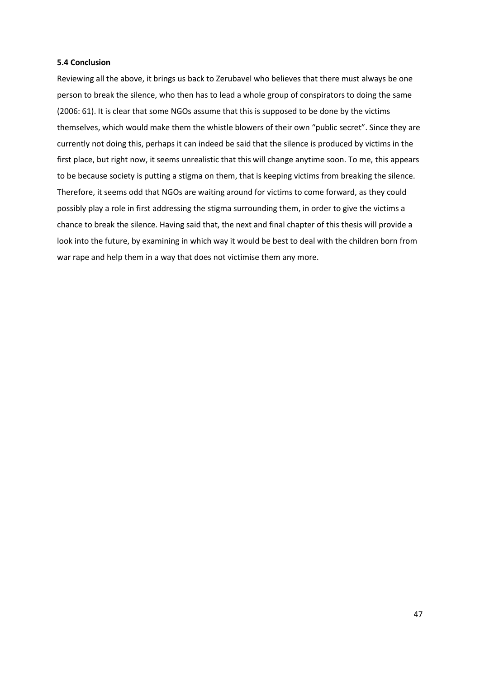#### **5.4 Conclusion**

Reviewing all the above, it brings us back to Zerubavel who believes that there must always be one person to break the silence, who then has to lead a whole group of conspirators to doing the same (2006: 61). It is clear that some NGOs assume that this is supposed to be done by the victims themselves, which would make them the whistle blowers of their own "public secret". Since they are currently not doing this, perhaps it can indeed be said that the silence is produced by victims in the first place, but right now, it seems unrealistic that this will change anytime soon. To me, this appears to be because society is putting a stigma on them, that is keeping victims from breaking the silence. Therefore, it seems odd that NGOs are waiting around for victims to come forward, as they could possibly play a role in first addressing the stigma surrounding them, in order to give the victims a chance to break the silence. Having said that, the next and final chapter of this thesis will provide a look into the future, by examining in which way it would be best to deal with the children born from war rape and help them in a way that does not victimise them any more.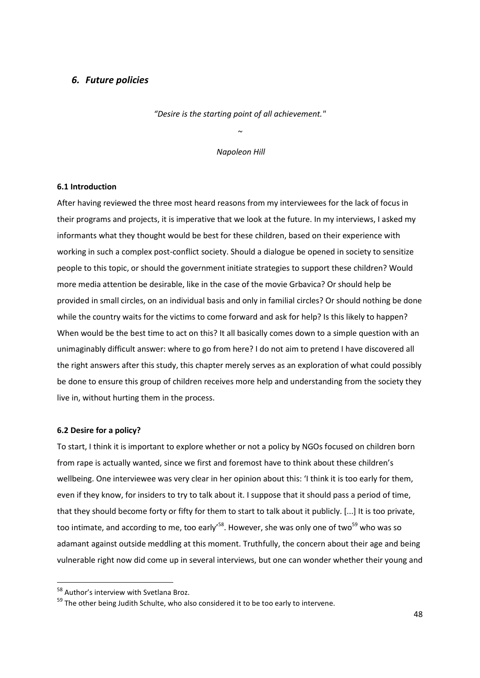## *6. Future policies*

*"Desire is the starting point of all achievement."* 

*~*

*Napoleon Hill*

#### **6.1 Introduction**

After having reviewed the three most heard reasons from my interviewees for the lack of focus in their programs and projects, it is imperative that we look at the future. In my interviews, I asked my informants what they thought would be best for these children, based on their experience with working in such a complex post-conflict society. Should a dialogue be opened in society to sensitize people to this topic, or should the government initiate strategies to support these children? Would more media attention be desirable, like in the case of the movie Grbavica? Or should help be provided in small circles, on an individual basis and only in familial circles? Or should nothing be done while the country waits for the victims to come forward and ask for help? Is this likely to happen? When would be the best time to act on this? It all basically comes down to a simple question with an unimaginably difficult answer: where to go from here? I do not aim to pretend I have discovered all the right answers after this study, this chapter merely serves as an exploration of what could possibly be done to ensure this group of children receives more help and understanding from the society they live in, without hurting them in the process.

#### **6.2 Desire for a policy?**

To start, I think it is important to explore whether or not a policy by NGOs focused on children born from rape is actually wanted, since we first and foremost have to think about these children's wellbeing. One interviewee was very clear in her opinion about this: 'I think it is too early for them, even if they know, for insiders to try to talk about it. I suppose that it should pass a period of time, that they should become forty or fifty for them to start to talk about it publicly. [...] It is too private, too intimate, and according to me, too early<sup>58</sup>. However, she was only one of two<sup>59</sup> who was so adamant against outside meddling at this moment. Truthfully, the concern about their age and being vulnerable right now did come up in several interviews, but one can wonder whether their young and

<sup>58</sup> Author's interview with Svetlana Broz.

<sup>&</sup>lt;sup>59</sup> The other being Judith Schulte, who also considered it to be too early to intervene.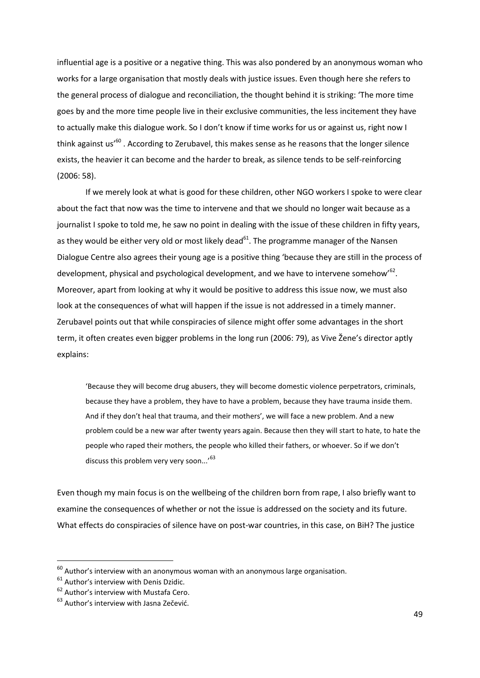influential age is a positive or a negative thing. This was also pondered by an anonymous woman who works for a large organisation that mostly deals with justice issues. Even though here she refers to the general process of dialogue and reconciliation, the thought behind it is striking: 'The more time goes by and the more time people live in their exclusive communities, the less incitement they have to actually make this dialogue work. So I don't know if time works for us or against us, right now I think against us<sup>'60</sup>. According to Zerubavel, this makes sense as he reasons that the longer silence exists, the heavier it can become and the harder to break, as silence tends to be self-reinforcing (2006: 58).

If we merely look at what is good for these children, other NGO workers I spoke to were clear about the fact that now was the time to intervene and that we should no longer wait because as a journalist I spoke to told me, he saw no point in dealing with the issue of these children in fifty years, as they would be either very old or most likely dead $^{61}$ . The programme manager of the Nansen Dialogue Centre also agrees their young age is a positive thing 'because they are still in the process of development, physical and psychological development, and we have to intervene somehow'<sup>62</sup>. Moreover, apart from looking at why it would be positive to address this issue now, we must also look at the consequences of what will happen if the issue is not addressed in a timely manner. Zerubavel points out that while conspiracies of silence might offer some advantages in the short term, it often creates even bigger problems in the long run (2006: 79), as Vive Žene's director aptly explains:

'Because they will become drug abusers, they will become domestic violence perpetrators, criminals, because they have a problem, they have to have a problem, because they have trauma inside them. And if they don't heal that trauma, and their mothers', we will face a new problem. And a new problem could be a new war after twenty years again. Because then they will start to hate, to hate the people who raped their mothers, the people who killed their fathers, or whoever. So if we don't discuss this problem very very soon...'<sup>63</sup>

Even though my main focus is on the wellbeing of the children born from rape, I also briefly want to examine the consequences of whether or not the issue is addressed on the society and its future. What effects do conspiracies of silence have on post-war countries, in this case, on BiH? The justice

 $^{60}$  Author's interview with an anonymous woman with an anonymous large organisation.

 $61$  Author's interview with Denis Dzidic.

<sup>&</sup>lt;sup>62</sup> Author's interview with Mustafa Cero.

 $63$  Author's interview with Jasna Zečević.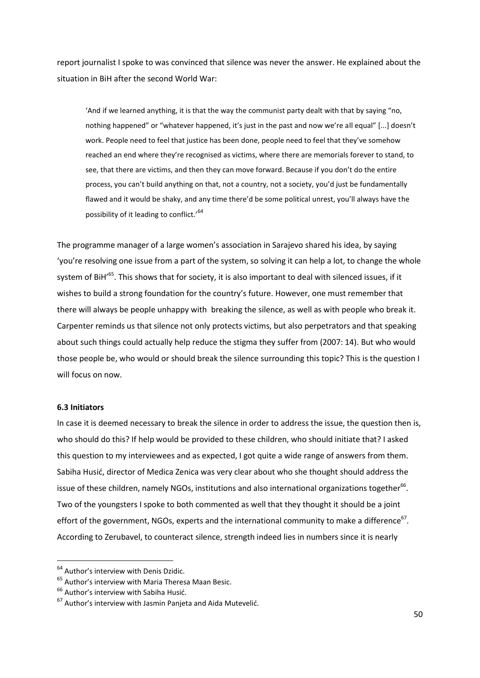report journalist I spoke to was convinced that silence was never the answer. He explained about the situation in BiH after the second World War:

'And if we learned anything, it is that the way the communist party dealt with that by saying "no, nothing happened" or "whatever happened, it's just in the past and now we're all equal" [...] doesn't work. People need to feel that justice has been done, people need to feel that they've somehow reached an end where they're recognised as victims, where there are memorials forever to stand, to see, that there are victims, and then they can move forward. Because if you don't do the entire process, you can't build anything on that, not a country, not a society, you'd just be fundamentally flawed and it would be shaky, and any time there'd be some political unrest, you'll always have the possibility of it leading to conflict.'<sup>64</sup>

The programme manager of a large women's association in Sarajevo shared his idea, by saying 'you're resolving one issue from a part of the system, so solving it can help a lot, to change the whole system of BiH'<sup>65</sup>. This shows that for society, it is also important to deal with silenced issues, if it wishes to build a strong foundation for the country's future. However, one must remember that there will always be people unhappy with breaking the silence, as well as with people who break it. Carpenter reminds us that silence not only protects victims, but also perpetrators and that speaking about such things could actually help reduce the stigma they suffer from (2007: 14). But who would those people be, who would or should break the silence surrounding this topic? This is the question I will focus on now.

#### **6.3 Initiators**

**.** 

In case it is deemed necessary to break the silence in order to address the issue, the question then is, who should do this? If help would be provided to these children, who should initiate that? I asked this question to my interviewees and as expected, I got quite a wide range of answers from them. Sabiha Husić, director of Medica Zenica was very clear about who she thought should address the issue of these children, namely NGOs, institutions and also international organizations together $^{66}$ . Two of the youngsters I spoke to both commented as well that they thought it should be a joint effort of the government, NGOs, experts and the international community to make a difference<sup>67</sup>. According to Zerubavel, to counteract silence, strength indeed lies in numbers since it is nearly

<sup>&</sup>lt;sup>64</sup> Author's interview with Denis Dzidic.

<sup>&</sup>lt;sup>65</sup> Author's interview with Maria Theresa Maan Besic.

<sup>&</sup>lt;sup>66</sup> Author's interview with Sabiha Husić.

 $67$  Author's interview with Jasmin Panjeta and Aida Mutevelić.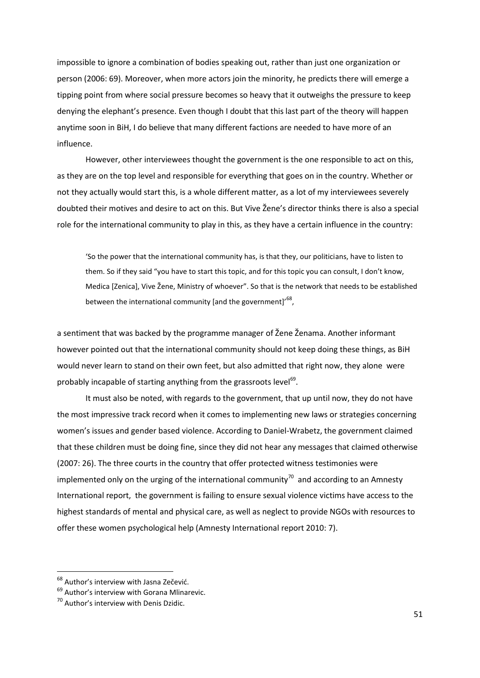impossible to ignore a combination of bodies speaking out, rather than just one organization or person (2006: 69). Moreover, when more actors join the minority, he predicts there will emerge a tipping point from where social pressure becomes so heavy that it outweighs the pressure to keep denying the elephant's presence. Even though I doubt that this last part of the theory will happen anytime soon in BiH, I do believe that many different factions are needed to have more of an influence.

However, other interviewees thought the government is the one responsible to act on this, as they are on the top level and responsible for everything that goes on in the country. Whether or not they actually would start this, is a whole different matter, as a lot of my interviewees severely doubted their motives and desire to act on this. But Vive Žene's director thinks there is also a special role for the international community to play in this, as they have a certain influence in the country:

'So the power that the international community has, is that they, our politicians, have to listen to them. So if they said "you have to start this topic, and for this topic you can consult, I don't know, Medica [Zenica], Vive Žene, Ministry of whoever". So that is the network that needs to be established between the international community [and the government]'  $^{68}$ ,

a sentiment that was backed by the programme manager of Žene Ženama. Another informant however pointed out that the international community should not keep doing these things, as BiH would never learn to stand on their own feet, but also admitted that right now, they alone were probably incapable of starting anything from the grassroots level $^{69}$ .

It must also be noted, with regards to the government, that up until now, they do not have the most impressive track record when it comes to implementing new laws or strategies concerning women's issues and gender based violence. According to Daniel-Wrabetz, the government claimed that these children must be doing fine, since they did not hear any messages that claimed otherwise (2007: 26). The three courts in the country that offer protected witness testimonies were implemented only on the urging of the international community<sup>70</sup> and according to an Amnesty International report, the government is failing to ensure sexual violence victims have access to the highest standards of mental and physical care, as well as neglect to provide NGOs with resources to offer these women psychological help (Amnesty International report 2010: 7).

<sup>&</sup>lt;sup>68</sup> Author's interview with Jasna Zečević.

<sup>&</sup>lt;sup>69</sup> Author's interview with Gorana Mlinarevic.

<sup>70</sup> Author's interview with Denis Dzidic.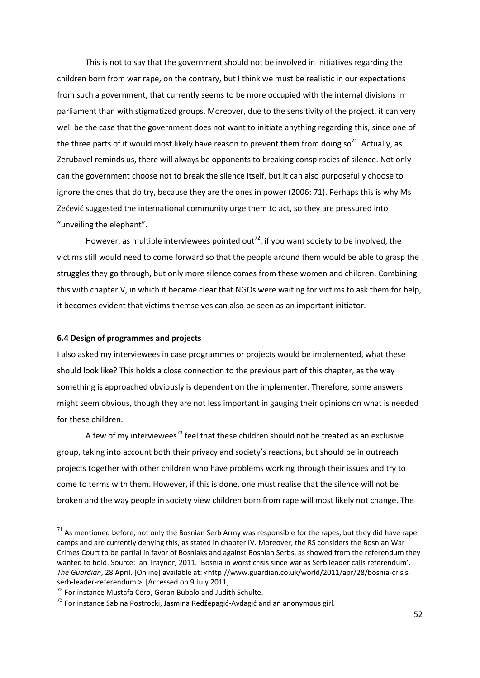This is not to say that the government should not be involved in initiatives regarding the children born from war rape, on the contrary, but I think we must be realistic in our expectations from such a government, that currently seems to be more occupied with the internal divisions in parliament than with stigmatized groups. Moreover, due to the sensitivity of the project, it can very well be the case that the government does not want to initiate anything regarding this, since one of the three parts of it would most likely have reason to prevent them from doing so<sup>71</sup>. Actually, as Zerubavel reminds us, there will always be opponents to breaking conspiracies of silence. Not only can the government choose not to break the silence itself, but it can also purposefully choose to ignore the ones that do try, because they are the ones in power (2006: 71). Perhaps this is why Ms Zečevid suggested the international community urge them to act, so they are pressured into "unveiling the elephant".

However, as multiple interviewees pointed out<sup>72</sup>, if you want society to be involved, the victims still would need to come forward so that the people around them would be able to grasp the struggles they go through, but only more silence comes from these women and children. Combining this with chapter V, in which it became clear that NGOs were waiting for victims to ask them for help, it becomes evident that victims themselves can also be seen as an important initiator.

#### **6.4 Design of programmes and projects**

**.** 

I also asked my interviewees in case programmes or projects would be implemented, what these should look like? This holds a close connection to the previous part of this chapter, as the way something is approached obviously is dependent on the implementer. Therefore, some answers might seem obvious, though they are not less important in gauging their opinions on what is needed for these children.

A few of my interviewees<sup>73</sup> feel that these children should not be treated as an exclusive group, taking into account both their privacy and society's reactions, but should be in outreach projects together with other children who have problems working through their issues and try to come to terms with them. However, if this is done, one must realise that the silence will not be broken and the way people in society view children born from rape will most likely not change. The

 $71$  As mentioned before, not only the Bosnian Serb Army was responsible for the rapes, but they did have rape camps and are currently denying this, as stated in chapter IV. Moreover, the RS considers the Bosnian War Crimes Court to be partial in favor of Bosniaks and against Bosnian Serbs, as showed from the referendum they wanted to hold. Source: Ian Traynor, 2011. 'Bosnia in worst crisis since war as Serb leader calls referendum'. *The Guardian*, 28 April. [Online] available at: <http://www.guardian.co.uk/world/2011/apr/28/bosnia-crisisserb-leader-referendum > [Accessed on 9 July 2011].

<sup>72</sup> For instance Mustafa Cero, Goran Bubalo and Judith Schulte.

 $73$  For instance Sabina Postrocki, Jasmina Redžepagić-Avdagić and an anonymous girl.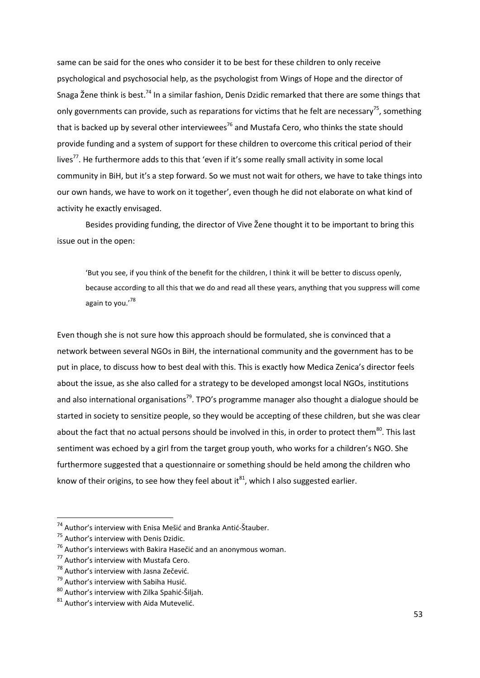same can be said for the ones who consider it to be best for these children to only receive psychological and psychosocial help, as the psychologist from Wings of Hope and the director of Snaga Žene think is best.<sup>74</sup> In a similar fashion, Denis Dzidic remarked that there are some things that only governments can provide, such as reparations for victims that he felt are necessary<sup>75</sup>, something that is backed up by several other interviewees<sup>76</sup> and Mustafa Cero, who thinks the state should provide funding and a system of support for these children to overcome this critical period of their lives<sup>77</sup>. He furthermore adds to this that 'even if it's some really small activity in some local community in BiH, but it's a step forward. So we must not wait for others, we have to take things into our own hands, we have to work on it together', even though he did not elaborate on what kind of activity he exactly envisaged.

Besides providing funding, the director of Vive Žene thought it to be important to bring this issue out in the open:

'But you see, if you think of the benefit for the children, I think it will be better to discuss openly, because according to all this that we do and read all these years, anything that you suppress will come again to you.'78

Even though she is not sure how this approach should be formulated, she is convinced that a network between several NGOs in BiH, the international community and the government has to be put in place, to discuss how to best deal with this. This is exactly how Medica Zenica's director feels about the issue, as she also called for a strategy to be developed amongst local NGOs, institutions and also international organisations<sup>79</sup>. TPO's programme manager also thought a dialogue should be started in society to sensitize people, so they would be accepting of these children, but she was clear about the fact that no actual persons should be involved in this, in order to protect them<sup>80</sup>. This last sentiment was echoed by a girl from the target group youth, who works for a children's NGO. She furthermore suggested that a questionnaire or something should be held among the children who know of their origins, to see how they feel about  $it^{81}$ , which I also suggested earlier.

<sup>&</sup>lt;sup>74</sup> Author's interview with Enisa Mešić and Branka Antić-Štauber.

<sup>&</sup>lt;sup>75</sup> Author's interview with Denis Dzidic.

 $^{76}$  Author's interviews with Bakira Hasečić and an anonymous woman.

<sup>77</sup> Author's interview with Mustafa Cero.

<sup>&</sup>lt;sup>78</sup> Author's interview with Jasna Zečević.

 $79$  Author's interview with Sabiha Husić.

 $80$  Author's interview with Zilka Spahić-Šiljah.

 $81$  Author's interview with Aida Mutevelić.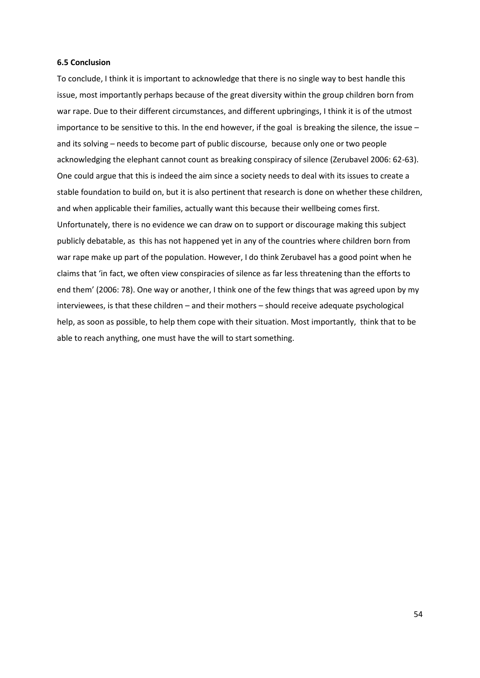#### **6.5 Conclusion**

To conclude, I think it is important to acknowledge that there is no single way to best handle this issue, most importantly perhaps because of the great diversity within the group children born from war rape. Due to their different circumstances, and different upbringings, I think it is of the utmost importance to be sensitive to this. In the end however, if the goal is breaking the silence, the issue – and its solving – needs to become part of public discourse, because only one or two people acknowledging the elephant cannot count as breaking conspiracy of silence (Zerubavel 2006: 62-63). One could argue that this is indeed the aim since a society needs to deal with its issues to create a stable foundation to build on, but it is also pertinent that research is done on whether these children, and when applicable their families, actually want this because their wellbeing comes first. Unfortunately, there is no evidence we can draw on to support or discourage making this subject publicly debatable, as this has not happened yet in any of the countries where children born from war rape make up part of the population. However, I do think Zerubavel has a good point when he claims that 'in fact, we often view conspiracies of silence as far less threatening than the efforts to end them' (2006: 78). One way or another, I think one of the few things that was agreed upon by my interviewees, is that these children – and their mothers – should receive adequate psychological help, as soon as possible, to help them cope with their situation. Most importantly, think that to be able to reach anything, one must have the will to start something.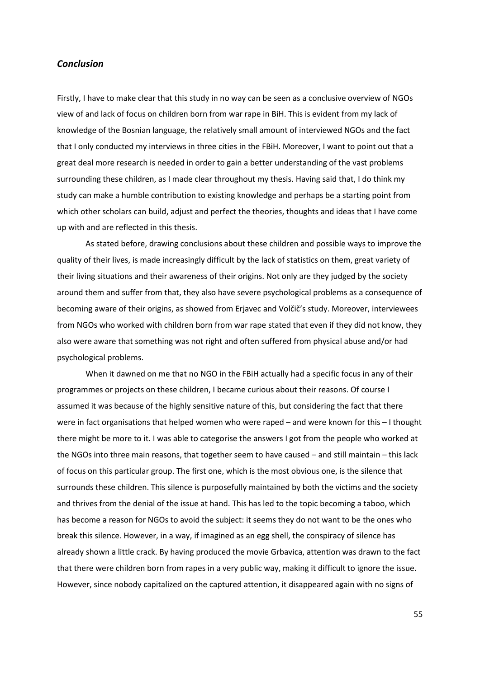## *Conclusion*

Firstly, I have to make clear that this study in no way can be seen as a conclusive overview of NGOs view of and lack of focus on children born from war rape in BiH. This is evident from my lack of knowledge of the Bosnian language, the relatively small amount of interviewed NGOs and the fact that I only conducted my interviews in three cities in the FBiH. Moreover, I want to point out that a great deal more research is needed in order to gain a better understanding of the vast problems surrounding these children, as I made clear throughout my thesis. Having said that, I do think my study can make a humble contribution to existing knowledge and perhaps be a starting point from which other scholars can build, adjust and perfect the theories, thoughts and ideas that I have come up with and are reflected in this thesis.

As stated before, drawing conclusions about these children and possible ways to improve the quality of their lives, is made increasingly difficult by the lack of statistics on them, great variety of their living situations and their awareness of their origins. Not only are they judged by the society around them and suffer from that, they also have severe psychological problems as a consequence of becoming aware of their origins, as showed from Erjavec and Volčič's study. Moreover, interviewees from NGOs who worked with children born from war rape stated that even if they did not know, they also were aware that something was not right and often suffered from physical abuse and/or had psychological problems.

When it dawned on me that no NGO in the FBiH actually had a specific focus in any of their programmes or projects on these children, I became curious about their reasons. Of course I assumed it was because of the highly sensitive nature of this, but considering the fact that there were in fact organisations that helped women who were raped – and were known for this – I thought there might be more to it. I was able to categorise the answers I got from the people who worked at the NGOs into three main reasons, that together seem to have caused – and still maintain – this lack of focus on this particular group. The first one, which is the most obvious one, is the silence that surrounds these children. This silence is purposefully maintained by both the victims and the society and thrives from the denial of the issue at hand. This has led to the topic becoming a taboo, which has become a reason for NGOs to avoid the subject: it seems they do not want to be the ones who break this silence. However, in a way, if imagined as an egg shell, the conspiracy of silence has already shown a little crack. By having produced the movie Grbavica, attention was drawn to the fact that there were children born from rapes in a very public way, making it difficult to ignore the issue. However, since nobody capitalized on the captured attention, it disappeared again with no signs of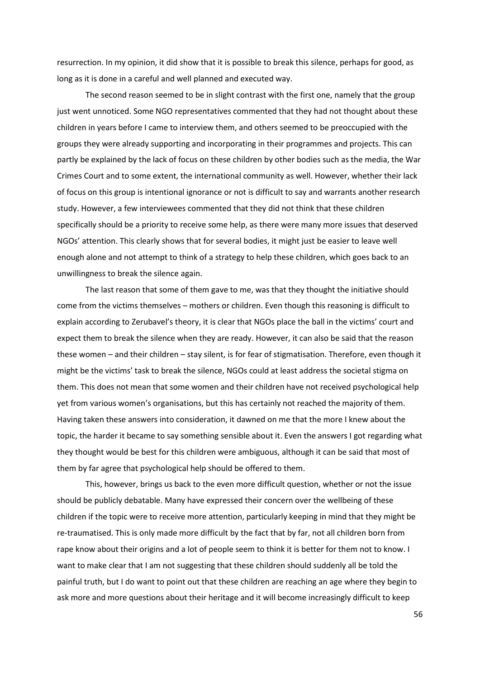resurrection. In my opinion, it did show that it is possible to break this silence, perhaps for good, as long as it is done in a careful and well planned and executed way.

The second reason seemed to be in slight contrast with the first one, namely that the group just went unnoticed. Some NGO representatives commented that they had not thought about these children in years before I came to interview them, and others seemed to be preoccupied with the groups they were already supporting and incorporating in their programmes and projects. This can partly be explained by the lack of focus on these children by other bodies such as the media, the War Crimes Court and to some extent, the international community as well. However, whether their lack of focus on this group is intentional ignorance or not is difficult to say and warrants another research study. However, a few interviewees commented that they did not think that these children specifically should be a priority to receive some help, as there were many more issues that deserved NGOs' attention. This clearly shows that for several bodies, it might just be easier to leave well enough alone and not attempt to think of a strategy to help these children, which goes back to an unwillingness to break the silence again.

The last reason that some of them gave to me, was that they thought the initiative should come from the victims themselves – mothers or children. Even though this reasoning is difficult to explain according to Zerubavel's theory, it is clear that NGOs place the ball in the victims' court and expect them to break the silence when they are ready. However, it can also be said that the reason these women – and their children – stay silent, is for fear of stigmatisation. Therefore, even though it might be the victims' task to break the silence, NGOs could at least address the societal stigma on them. This does not mean that some women and their children have not received psychological help yet from various women's organisations, but this has certainly not reached the majority of them. Having taken these answers into consideration, it dawned on me that the more I knew about the topic, the harder it became to say something sensible about it. Even the answers I got regarding what they thought would be best for this children were ambiguous, although it can be said that most of them by far agree that psychological help should be offered to them.

This, however, brings us back to the even more difficult question, whether or not the issue should be publicly debatable. Many have expressed their concern over the wellbeing of these children if the topic were to receive more attention, particularly keeping in mind that they might be re-traumatised. This is only made more difficult by the fact that by far, not all children born from rape know about their origins and a lot of people seem to think it is better for them not to know. I want to make clear that I am not suggesting that these children should suddenly all be told the painful truth, but I do want to point out that these children are reaching an age where they begin to ask more and more questions about their heritage and it will become increasingly difficult to keep

56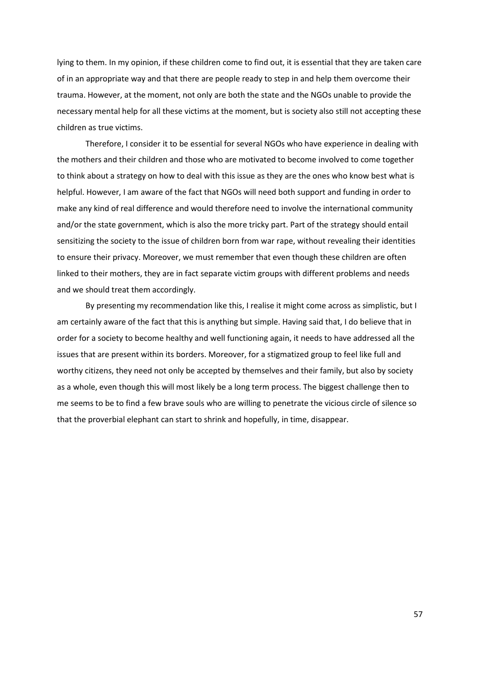lying to them. In my opinion, if these children come to find out, it is essential that they are taken care of in an appropriate way and that there are people ready to step in and help them overcome their trauma. However, at the moment, not only are both the state and the NGOs unable to provide the necessary mental help for all these victims at the moment, but is society also still not accepting these children as true victims.

Therefore, I consider it to be essential for several NGOs who have experience in dealing with the mothers and their children and those who are motivated to become involved to come together to think about a strategy on how to deal with this issue as they are the ones who know best what is helpful. However, I am aware of the fact that NGOs will need both support and funding in order to make any kind of real difference and would therefore need to involve the international community and/or the state government, which is also the more tricky part. Part of the strategy should entail sensitizing the society to the issue of children born from war rape, without revealing their identities to ensure their privacy. Moreover, we must remember that even though these children are often linked to their mothers, they are in fact separate victim groups with different problems and needs and we should treat them accordingly.

By presenting my recommendation like this, I realise it might come across as simplistic, but I am certainly aware of the fact that this is anything but simple. Having said that, I do believe that in order for a society to become healthy and well functioning again, it needs to have addressed all the issues that are present within its borders. Moreover, for a stigmatized group to feel like full and worthy citizens, they need not only be accepted by themselves and their family, but also by society as a whole, even though this will most likely be a long term process. The biggest challenge then to me seems to be to find a few brave souls who are willing to penetrate the vicious circle of silence so that the proverbial elephant can start to shrink and hopefully, in time, disappear.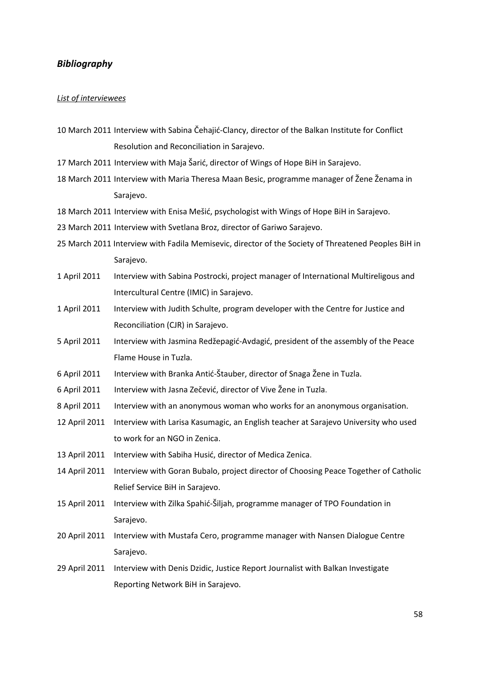## *Bibliography*

## *List of interviewees*

- 10 March 2011 Interview with Sabina Čehajić-Clancy, director of the Balkan Institute for Conflict Resolution and Reconciliation in Sarajevo.
- 17 March 2011 Interview with Maja Šarić, director of Wings of Hope BiH in Sarajevo.
- 18 March 2011 Interview with Maria Theresa Maan Besic, programme manager of Žene Ženama in Sarajevo.
- 18 March 2011 Interview with Enisa Mešić, psychologist with Wings of Hope BiH in Sarajevo.
- 23 March 2011 Interview with Svetlana Broz, director of Gariwo Sarajevo.
- 25 March 2011 Interview with Fadila Memisevic, director of the Society of Threatened Peoples BiH in Sarajevo.
- 1 April 2011 Interview with Sabina Postrocki, project manager of International Multireligous and Intercultural Centre (IMIC) in Sarajevo.
- 1 April 2011 Interview with Judith Schulte, program developer with the Centre for Justice and Reconciliation (CJR) in Sarajevo.
- 5 April 2011 Interview with Jasmina Redžepagić-Avdagić, president of the assembly of the Peace Flame House in Tuzla.
- 6 April 2011 Interview with Branka Antid*-*Štauber, director of Snaga Žene in Tuzla.
- 6 April 2011 Interview with Jasna Zečević, director of Vive Žene in Tuzla.
- 8 April 2011 Interview with an anonymous woman who works for an anonymous organisation.
- 12 April 2011 Interview with Larisa Kasumagic, an English teacher at Sarajevo University who used to work for an NGO in Zenica.
- 13 April 2011 Interview with Sabiha Husić, director of Medica Zenica.
- 14 April 2011 Interview with Goran Bubalo, project director of Choosing Peace Together of Catholic Relief Service BiH in Sarajevo.
- 15 April 2011 Interview with Zilka Spahid-Šiljah, programme manager of TPO Foundation in Sarajevo.
- 20 April 2011 Interview with Mustafa Cero, programme manager with Nansen Dialogue Centre Sarajevo.
- 29 April 2011 Interview with Denis Dzidic, Justice Report Journalist with Balkan Investigate Reporting Network BiH in Sarajevo.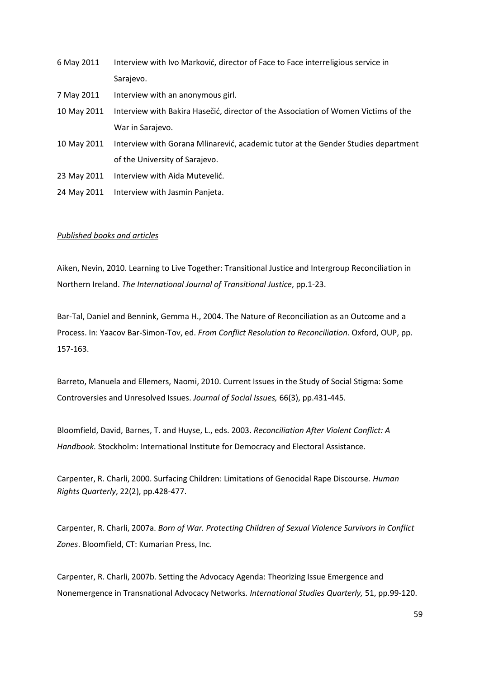- 6 May 2011 Interview with Ivo Marković, director of Face to Face interreligious service in Sarajevo.
- 7 May 2011 Interview with an anonymous girl.
- 10 May 2011 Interview with Bakira Hasečić, director of the Association of Women Victims of the War in Sarajevo.
- 10 May 2011 Interview with Gorana Mlinarević, academic tutor at the Gender Studies department of the University of Sarajevo.
- 23 May 2011 Interview with Aida Mutevelić.
- 24 May 2011 Interview with Jasmin Panjeta.

#### *Published books and articles*

Aiken, Nevin, 2010. Learning to Live Together: Transitional Justice and Intergroup Reconciliation in Northern Ireland. *The International Journal of Transitional Justice*, pp.1-23.

Bar-Tal, Daniel and Bennink, Gemma H., 2004. The Nature of Reconciliation as an Outcome and a Process. In: Yaacov Bar-Simon-Tov, ed. *From Conflict Resolution to Reconciliation*. Oxford, OUP, pp. 157-163.

Barreto, Manuela and Ellemers, Naomi, 2010. Current Issues in the Study of Social Stigma: Some Controversies and Unresolved Issues. *Journal of Social Issues,* 66(3), pp.431-445.

Bloomfield, David, Barnes, T. and Huyse, L., eds. 2003. *Reconciliation After Violent Conflict: A Handbook.* Stockholm: International Institute for Democracy and Electoral Assistance.

Carpenter, R. Charli, 2000. Surfacing Children: Limitations of Genocidal Rape Discourse*. Human Rights Quarterly*, 22(2), pp.428-477.

Carpenter, R. Charli, 2007a. *Born of War. Protecting Children of Sexual Violence Survivors in Conflict Zones*. Bloomfield, CT: Kumarian Press, Inc.

Carpenter, R. Charli, 2007b. Setting the Advocacy Agenda: Theorizing Issue Emergence and Nonemergence in Transnational Advocacy Networks*. International Studies Quarterly,* 51, pp.99-120.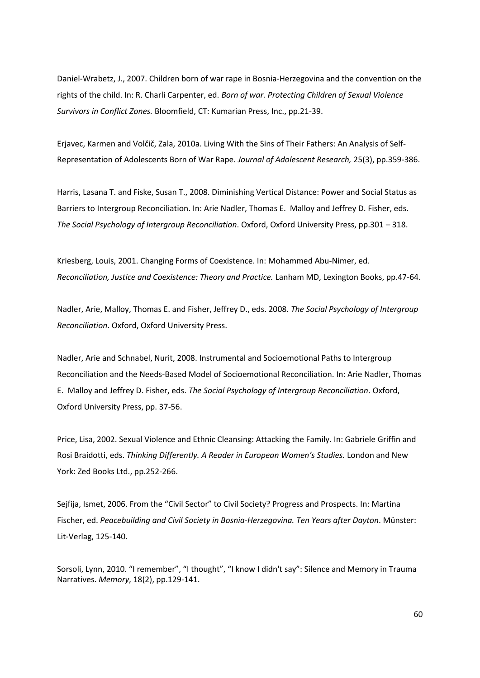Daniel-Wrabetz, J., 2007. Children born of war rape in Bosnia-Herzegovina and the convention on the rights of the child. In: R. Charli Carpenter, ed. *Born of war. Protecting Children of Sexual Violence Survivors in Conflict Zones.* Bloomfield, CT: Kumarian Press, Inc., pp.21-39.

Erjavec, Karmen and Volčič, Zala, 2010a. Living With the Sins of Their Fathers: An Analysis of Self-Representation of Adolescents Born of War Rape. *Journal of Adolescent Research,* 25(3), pp.359-386.

Harris, Lasana T. and Fiske, Susan T., 2008. Diminishing Vertical Distance: Power and Social Status as Barriers to Intergroup Reconciliation. In: Arie Nadler, Thomas E. Malloy and Jeffrey D. Fisher, eds. *The Social Psychology of Intergroup Reconciliation*. Oxford, Oxford University Press, pp.301 – 318.

Kriesberg, Louis, 2001. Changing Forms of Coexistence. In: Mohammed Abu-Nimer, ed. *Reconciliation, Justice and Coexistence: Theory and Practice.* Lanham MD, Lexington Books, pp.47-64.

Nadler, Arie, Malloy, Thomas E. and Fisher, Jeffrey D., eds. 2008. *The Social Psychology of Intergroup Reconciliation*. Oxford, Oxford University Press.

Nadler, Arie and Schnabel, Nurit, 2008. Instrumental and Socioemotional Paths to Intergroup Reconciliation and the Needs-Based Model of Socioemotional Reconciliation. In: Arie Nadler, Thomas E. Malloy and Jeffrey D. Fisher, eds. *The Social Psychology of Intergroup Reconciliation*. Oxford, Oxford University Press, pp. 37-56.

Price, Lisa, 2002. Sexual Violence and Ethnic Cleansing: Attacking the Family. In: Gabriele Griffin and Rosi Braidotti, eds. *Thinking Differently. A Reader in European Women's Studies.* London and New York: Zed Books Ltd., pp.252-266.

Sejfija, Ismet, 2006. From the "Civil Sector" to Civil Society? Progress and Prospects. In: Martina Fischer, ed. *Peacebuilding and Civil Society in Bosnia-Herzegovina. Ten Years after Dayton*. Münster: Lit-Verlag, 125-140.

Sorsoli, Lynn, 2010. "I remember", "I thought", "I know I didn't say": Silence and Memory in Trauma Narratives. *Memory*, 18(2), pp.129-141.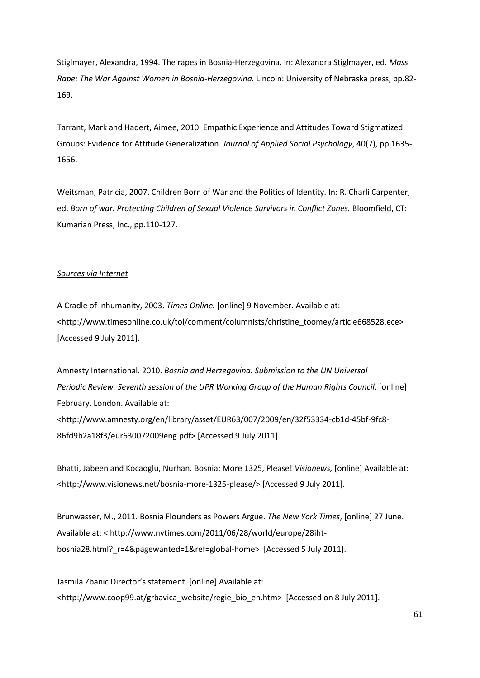Stiglmayer, Alexandra, 1994. The rapes in Bosnia-Herzegovina. In: Alexandra Stiglmayer, ed. *Mass Rape: The War Against Women in Bosnia-Herzegovina.* Lincoln: University of Nebraska press, pp.82- 169.

Tarrant, Mark and Hadert, Aimee, 2010. Empathic Experience and Attitudes Toward Stigmatized Groups: Evidence for Attitude Generalization. *Journal of Applied Social Psychology*, 40(7), pp.1635- 1656.

Weitsman, Patricia, 2007. Children Born of War and the Politics of Identity. In: R. Charli Carpenter, ed. *Born of war. Protecting Children of Sexual Violence Survivors in Conflict Zones.* Bloomfield, CT: Kumarian Press, Inc., pp.110-127.

## *Sources via Internet*

A Cradle of Inhumanity, 2003. *Times Online.* [online] 9 November. Available at: <http://www.timesonline.co.uk/tol/comment/columnists/christine\_toomey/article668528.ece> [Accessed 9 July 2011].

Amnesty International. 2010. *Bosnia and Herzegovina. Submission to the UN Universal Periodic Review. Seventh session of the UPR Working Group of the Human Rights Council*. [online] February, London. Available at: <http://www.amnesty.org/en/library/asset/EUR63/007/2009/en/32f53334-cb1d-45bf-9fc8- 86fd9b2a18f3/eur630072009eng.pdf> [Accessed 9 July 2011].

Bhatti, Jabeen and Kocaoglu, Nurhan. Bosnia: More 1325, Please! *Visionews,* [online] Available at: <http://www.visionews.net/bosnia-more-1325-please/> [Accessed 9 July 2011].

Brunwasser, M., 2011. Bosnia Flounders as Powers Argue. *The New York Times*, [online] 27 June. Available at: < http://www.nytimes.com/2011/06/28/world/europe/28ihtbosnia28.html?\_r=4&pagewanted=1&ref=global-home> [Accessed 5 July 2011].

Jasmila Zbanic Director's statement. [online] Available at: <http://www.coop99.at/grbavica\_website/regie\_bio\_en.htm> [Accessed on 8 July 2011].